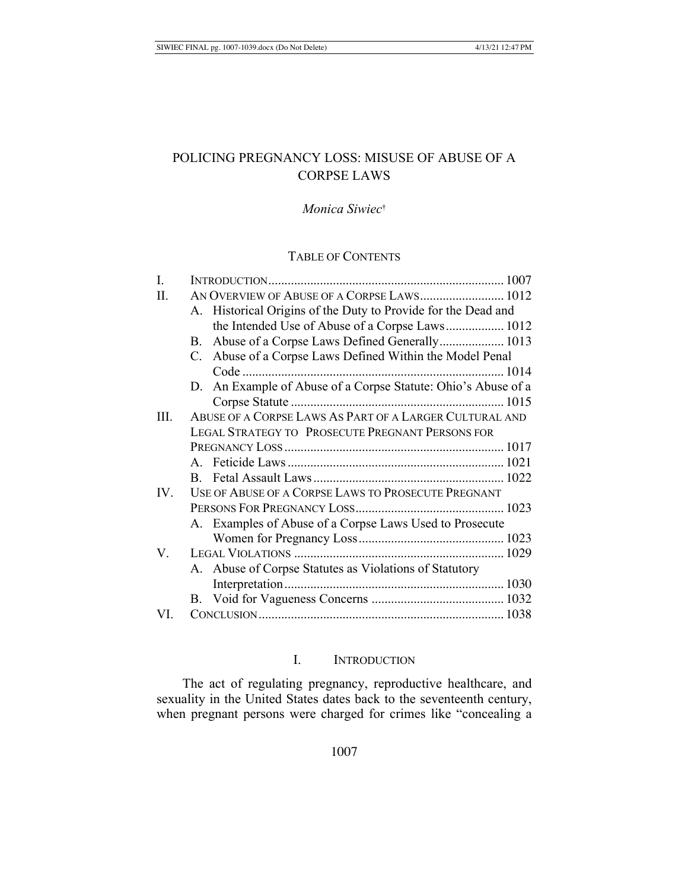# POLICING PREGNANCY LOSS: MISUSE OF ABUSE OF A **CORPSE LAWS**

# Monica Siwiec<sup>t</sup>

# **TABLE OF CONTENTS**

| I.   |                                                               |                                                               |  |
|------|---------------------------------------------------------------|---------------------------------------------------------------|--|
| П.   |                                                               | AN OVERVIEW OF ABUSE OF A CORPSE LAWS 1012                    |  |
|      | A. Historical Origins of the Duty to Provide for the Dead and |                                                               |  |
|      |                                                               | the Intended Use of Abuse of a Corpse Laws 1012               |  |
|      |                                                               | B. Abuse of a Corpse Laws Defined Generally 1013              |  |
|      |                                                               | C. Abuse of a Corpse Laws Defined Within the Model Penal      |  |
|      |                                                               | $Code$                                                        |  |
|      |                                                               | D. An Example of Abuse of a Corpse Statute: Ohio's Abuse of a |  |
|      |                                                               |                                                               |  |
| III. | ABUSE OF A CORPSE LAWS AS PART OF A LARGER CULTURAL AND       |                                                               |  |
|      | <b>LEGAL STRATEGY TO PROSECUTE PREGNANT PERSONS FOR</b>       |                                                               |  |
|      |                                                               |                                                               |  |
|      |                                                               |                                                               |  |
|      |                                                               |                                                               |  |
| IV.  | USE OF ABUSE OF A CORPSE LAWS TO PROSECUTE PREGNANT           |                                                               |  |
|      |                                                               |                                                               |  |
|      |                                                               | A. Examples of Abuse of a Corpse Laws Used to Prosecute       |  |
|      |                                                               |                                                               |  |
| V.   |                                                               |                                                               |  |
|      |                                                               | A. Abuse of Corpse Statutes as Violations of Statutory        |  |
|      |                                                               |                                                               |  |
|      |                                                               |                                                               |  |
| VI.  |                                                               |                                                               |  |
|      |                                                               |                                                               |  |

## I. INTRODUCTION

The act of regulating pregnancy, reproductive healthcare, and sexuality in the United States dates back to the seventeenth century, when pregnant persons were charged for crimes like "concealing a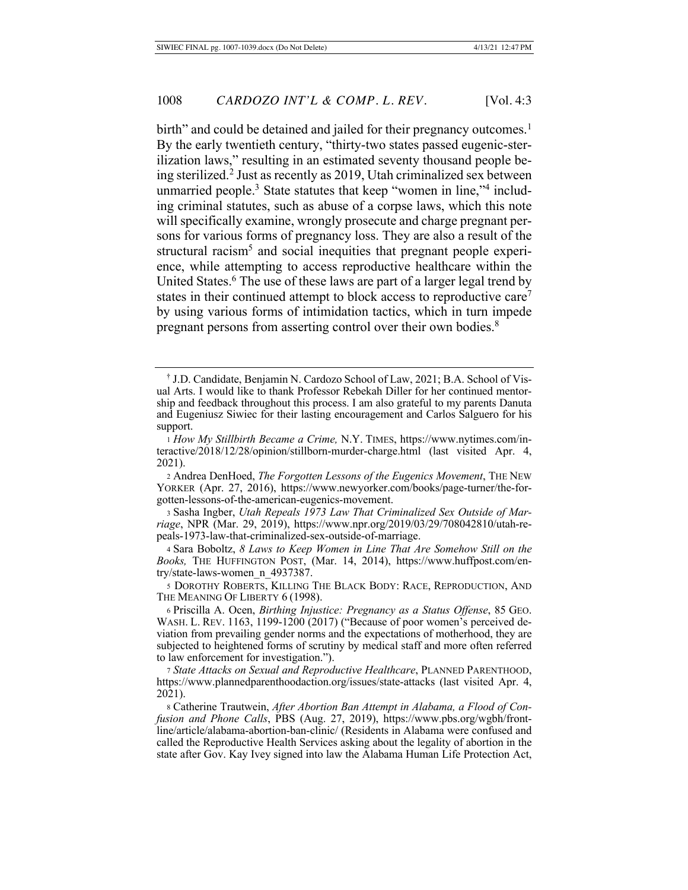birth" and could be detained and jailed for their pregnancy outcomes.<sup>1</sup> By the early twentieth century, "thirty-two states passed eugenic-sterilization laws," resulting in an estimated seventy thousand people being sterilized.<sup>2</sup> Just as recently as 2019, Utah criminalized sex between unmarried people.<sup>3</sup> State statutes that keep "women in line,"<sup>4</sup> including criminal statutes, such as abuse of a corpse laws, which this note will specifically examine, wrongly prosecute and charge pregnant persons for various forms of pregnancy loss. They are also a result of the structural racism<sup>5</sup> and social inequities that pregnant people experience, while attempting to access reproductive healthcare within the United States.<sup>6</sup> The use of these laws are part of a larger legal trend by states in their continued attempt to block access to reproductive care<sup>7</sup> by using various forms of intimidation tactics, which in turn impede pregnant persons from asserting control over their own bodies.<sup>8</sup>

<sup>&</sup>lt;sup>†</sup> J.D. Candidate, Benjamin N. Cardozo School of Law, 2021; B.A. School of Visual Arts. I would like to thank Professor Rebekah Diller for her continued mentorship and feedback throughout this process. I am also grateful to my parents Danuta and Eugeniusz Siwiec for their lasting encouragement and Carlos Salguero for his support.

<sup>1</sup> How My Stillbirth Became a Crime, N.Y. TIMES, https://www.nytimes.com/interactive/2018/12/28/opinion/stillborn-murder-charge.html (last visited Apr. 4, 2021).

<sup>2</sup> Andrea DenHoed, The Forgotten Lessons of the Eugenics Movement, THE NEW YORKER (Apr. 27, 2016), https://www.newyorker.com/books/page-turner/the-forgotten-lessons-of-the-american-eugenics-movement.

<sup>3</sup> Sasha Ingber, Utah Repeals 1973 Law That Criminalized Sex Outside of Marriage, NPR (Mar. 29, 2019), https://www.npr.org/2019/03/29/708042810/utah-repeals-1973-law-that-criminalized-sex-outside-of-marriage.

 $4$  Sara Boboltz,  $8$  Laws to Keep Women in Line That Are Somehow Still on the Books, THE HUFFINGTON POST, (Mar. 14, 2014), https://www.huffpost.com/entry/state-laws-women n 4937387.

<sup>5</sup> DOROTHY ROBERTS, KILLING THE BLACK BODY: RACE, REPRODUCTION, AND THE MEANING OF LIBERTY 6 (1998).

<sup>6</sup> Priscilla A. Ocen, *Birthing Injustice: Pregnancy as a Status Offense*, 85 GEO. WASH. L. REV. 1163, 1199-1200 (2017) ("Because of poor women's perceived deviation from prevailing gender norms and the expectations of motherhood, they are subjected to heightened forms of scrutiny by medical staff and more often referred to law enforcement for investigation.").

<sup>7</sup> State Attacks on Sexual and Reproductive Healthcare, PLANNED PARENTHOOD, https://www.plannedparenthoodaction.org/issues/state-attacks (last visited Apr. 4, 2021).

<sup>8</sup> Catherine Trautwein, After Abortion Ban Attempt in Alabama, a Flood of Confusion and Phone Calls, PBS (Aug. 27, 2019), https://www.pbs.org/wgbh/frontline/article/alabama-abortion-ban-clinic/ (Residents in Alabama were confused and realled the Reproductive Health Services asking about the legality of abortion in the state after Gov. Kay Ivey signed into law the Alabama Human Life Protection Act,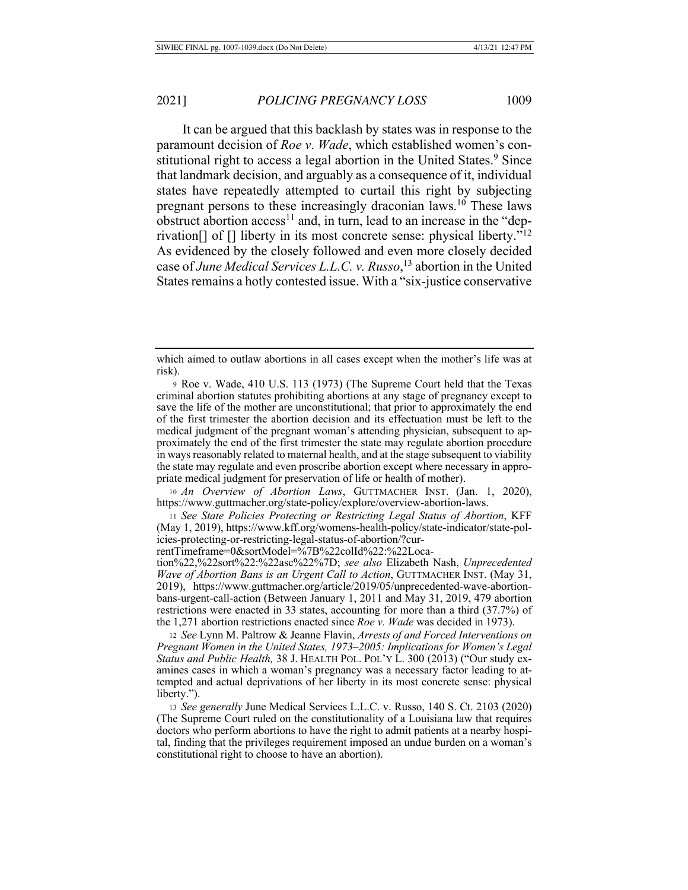It can be argued that this backlash by states was in response to the paramount decision of Roe v. Wade, which established women's constitutional right to access a legal abortion in the United States.<sup>9</sup> Since that landmark decision, and arguably as a consequence of it, individual states have repeatedly attempted to curtail this right by subjecting pregnant persons to these increasingly draconian laws.<sup>10</sup> These laws obstruct abortion  $access^{11}$  and, in turn, lead to an increase in the "deprivation<sup>[]</sup> of  $\Box$  liberty in its most concrete sense: physical liberty."<sup>12</sup> As evidenced by the closely followed and even more closely decided case of June Medical Services L.L.C. v. Russo,<sup>13</sup> abortion in the United States remains a hotly contested issue. With a "six-justice conservative"

10 An Overview of Abortion Laws, GUTTMACHER INST. (Jan. 1, 2020), https://www.guttmacher.org/state-policy/explore/overview-abortion-laws.

<sup>11</sup> See State Policies Protecting or Restricting Legal Status of Abortion, KFF (May 1, 2019), https://www.kff.org/womens-health-policy/state-indicator/state-policies-protecting-or-restricting-legal-status-of-abortion/?cur-

rentTimeframe=0&sortModel=%7B%22colId%22:%22Loca-

tion%22,%22sort%22:%22asc%22%7D; see also Elizabeth Nash, Unprecedented *Wave of Abortion Bans is an Urgent Call to Action, GUTTMACHER INST. (May 31,* 2019), https://www.guttmacher.org/article/2019/05/unprecedented-wave-abortionbans-urgent-call-action (Between January 1, 2011 and May 31, 2019, 479 abortion restrictions were enacted in 33 states, accounting for more than a third  $(37.7%)$  of the 1,271 abortion restrictions enacted since *Roe v. Wade* was decided in 1973).

12 See Lynn M. Paltrow & Jeanne Flavin, Arrests of and Forced Interventions on Pregnant Women in the United States, 1973–2005: Implications for Women's Legal Status and Public Health, 38 J. HEALTH POL. POL'Y L. 300 (2013) ("Our study examines cases in which a woman's pregnancy was a necessary factor leading to attempted and actual deprivations of her liberty in its most concrete sense: physical liberty.").

13 See generally June Medical Services L.L.C. v. Russo, 140 S. Ct. 2103 (2020) (The Supreme Court ruled on the constitutionality of a Louisiana law that requires doctors who perform abortions to have the right to admit patients at a nearby hospital, finding that the privileges requirement imposed an undue burden on a woman's constitutional right to choose to have an abortion).

which aimed to outlaw abortions in all cases except when the mother's life was at risk).

<sup>9</sup> Roe v. Wade, 410 U.S. 113 (1973) (The Supreme Court held that the Texas criminal abortion statutes prohibiting abortions at any stage of pregnancy except to save the life of the mother are unconstitutional; that prior to approximately the end of the first trimester the abortion decision and its effectuation must be left to the medical judgment of the pregnant woman's attending physician, subsequent to approximately the end of the first trimester the state may regulate abortion procedure in ways reasonably related to maternal health, and at the stage subsequent to viability the state may regulate and even proscribe abortion except where necessary in appropriate medical judgment for preservation of life or health of mother).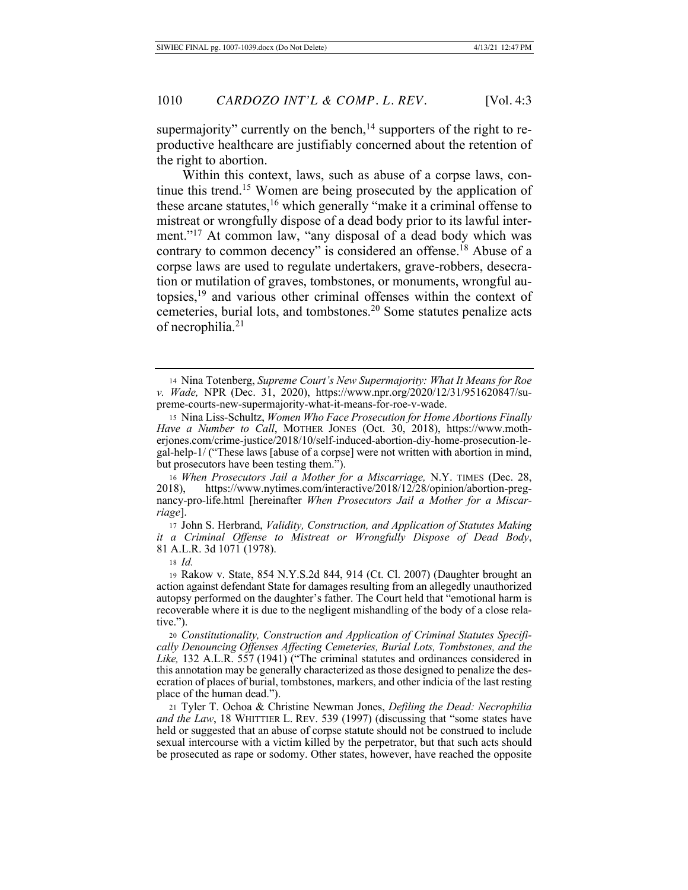supermajority" currently on the bench,<sup>14</sup> supporters of the right to reproductive healthcare are justifiably concerned about the retention of the right to abortion.

Within this context, laws, such as abuse of a corpse laws, continue this trend.<sup>15</sup> Women are being prosecuted by the application of these arcane statutes,  $16$  which generally "make it a criminal offense to mistreat or wrongfully dispose of a dead body prior to its lawful interment."<sup>17</sup> At common law, "any disposal of a dead body which was contrary to common decency" is considered an offense.<sup>18</sup> Abuse of a corpse laws are used to regulate undertakers, grave-robbers, desecration or mutilation of graves, tombstones, or monuments, wrongful autopsies, $^{19}$  and various other criminal offenses within the context of cemeteries, burial lots, and tombstones.<sup>20</sup> Some statutes penalize acts of necrophilia.<sup>21</sup>

17 John S. Herbrand, Validity, Construction, and Application of Statutes Making *it a Criminal Offense to Mistreat or Wrongfully Dispose of Dead Body,* 81 A.L.R. 3d 1071 (1978).

18 Id.

<sup>14</sup> Nina Totenberg, Supreme Court's New Supermajority: What It Means for Roe v. Wade, NPR (Dec. 31, 2020), https://www.npr.org/2020/12/31/951620847/supreme-courts-new-supermajority-what-it-means-for-roe-v-wade.

<sup>15</sup> Nina Liss-Schultz, Women Who Face Prosecution for Home Abortions Finally Have a Number to Call, MOTHER JONES (Oct. 30, 2018), https://www.motherjones.com/crime-justice/2018/10/self-induced-abortion-diy-home-prosecution-legal-help-1/ ("These laws [abuse of a corpse] were not written with abortion in mind, but prosecutors have been testing them.").

<sup>16</sup> When Prosecutors Jail a Mother for a Miscarriage, N.Y. TIMES (Dec. 28, 2018), https://www.nytimes.com/interactive/2018/12/28/opinion/abortion-pregnancy-pro-life.html [hereinafter When Prosecutors Jail a Mother for a Miscar- $^{rigge}.$ 

<sup>19</sup> Rakow v. State, 854 N.Y.S.2d 844, 914 (Ct. Cl. 2007) (Daughter brought an action against defendant State for damages resulting from an allegedly unauthorized autopsy performed on the daughter's father. The Court held that "emotional harm is recoverable where it is due to the negligent mishandling of the body of a close relative.").

<sup>20</sup> Constitutionality, Construction and Application of Criminal Statutes Specifically Denouncing Offenses Affecting Cemeteries, Burial Lots, Tombstones, and the Like, 132 A.L.R. 557 (1941) ("The criminal statutes and ordinances considered in this annotation may be generally characterized as those designed to penalize the desecration of places of burial, tombstones, markers, and other indicia of the last resting place of the human dead.").

<sup>21</sup> Tyler T. Ochoa & Christine Newman Jones, *Defiling the Dead: Necrophilia* and the Law, 18 WHITTIER L. REV. 539 (1997) (discussing that "some states have held or suggested that an abuse of corpse statute should not be construed to include sexual intercourse with a victim killed by the perpetrator, but that such acts should be prosecuted as rape or sodomy. Other states, however, have reached the opposite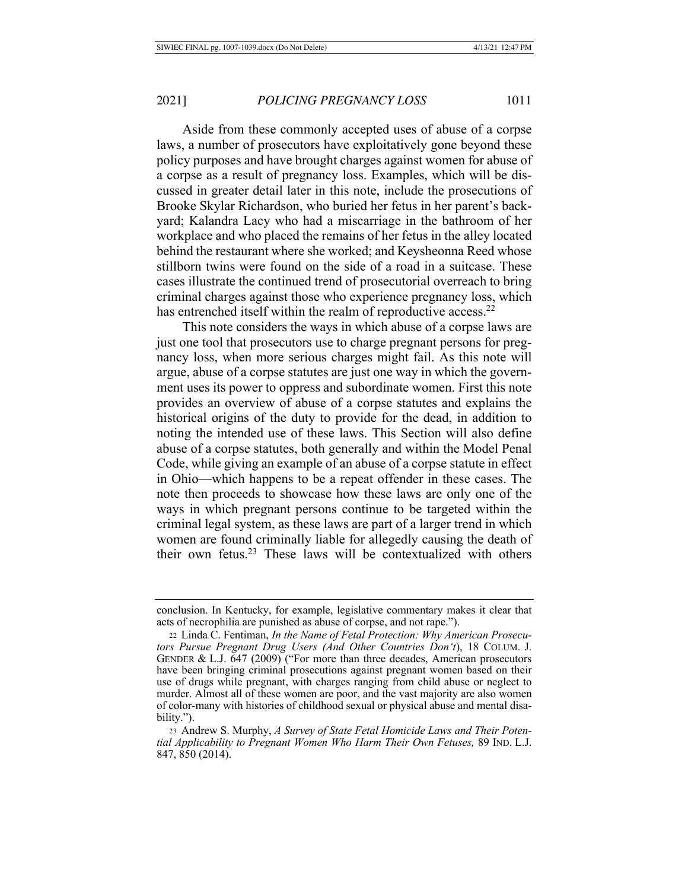Aside from these commonly accepted uses of abuse of a corpse laws, a number of prosecutors have exploitatively gone beyond these policy purposes and have brought charges against women for abuse of a corpse as a result of pregnancy loss. Examples, which will be discussed in greater detail later in this note, include the prosecutions of Brooke Skylar Richardson, who buried her fetus in her parent's backyard; Kalandra Lacy who had a miscarriage in the bathroom of her workplace and who placed the remains of her fetus in the alley located behind the restaurant where she worked; and Keysheonna Reed whose stillborn twins were found on the side of a road in a suitcase. These cases illustrate the continued trend of prosecutorial overreach to bring criminal charges against those who experience pregnancy loss, which has entrenched itself within the realm of reproductive access.<sup>22</sup>

This note considers the ways in which abuse of a corpse laws are just one tool that prosecutors use to charge pregnant persons for pregnancy loss, when more serious charges might fail. As this note will argue, abuse of a corpse statutes are just one way in which the government uses its power to oppress and subordinate women. First this note provides an overview of abuse of a corpse statutes and explains the historical origins of the duty to provide for the dead, in addition to noting the intended use of these laws. This Section will also define abuse of a corpse statutes, both generally and within the Model Penal Code, while giving an example of an abuse of a corpse statute in effect in Ohio—which happens to be a repeat offender in these cases. The note then proceeds to showcase how these laws are only one of the ways in which pregnant persons continue to be targeted within the criminal legal system, as these laws are part of a larger trend in which women are found criminally liable for allegedly causing the death of their own fetus.<sup>23</sup> These laws will be contextualized with others

conclusion. In Kentucky, for example, legislative commentary makes it clear that acts of necrophilia are punished as abuse of corpse, and not rape.").

<sup>22</sup> Linda C. Fentiman, *In the Name of Fetal Protection: Why American Prosecufors Pursue Pregnant Drug Users (And Other Countries Don't)*, 18 COLUM. J. GENDER & L.J. 647 (2009) ("For more than three decades, American prosecutors have been bringing criminal prosecutions against pregnant women based on their use of drugs while pregnant, with charges ranging from child abuse or neglect to murder. Almost all of these women are poor, and the vast majority are also women of color-many with histories of childhood sexual or physical abuse and mental disability.").

<sup>23</sup> Andrew S. Murphy, A Survey of State Fetal Homicide Laws and Their Potential Applicability to Pregnant Women Who Harm Their Own Fetuses, 89 IND. L.J. 847, 850 (2014).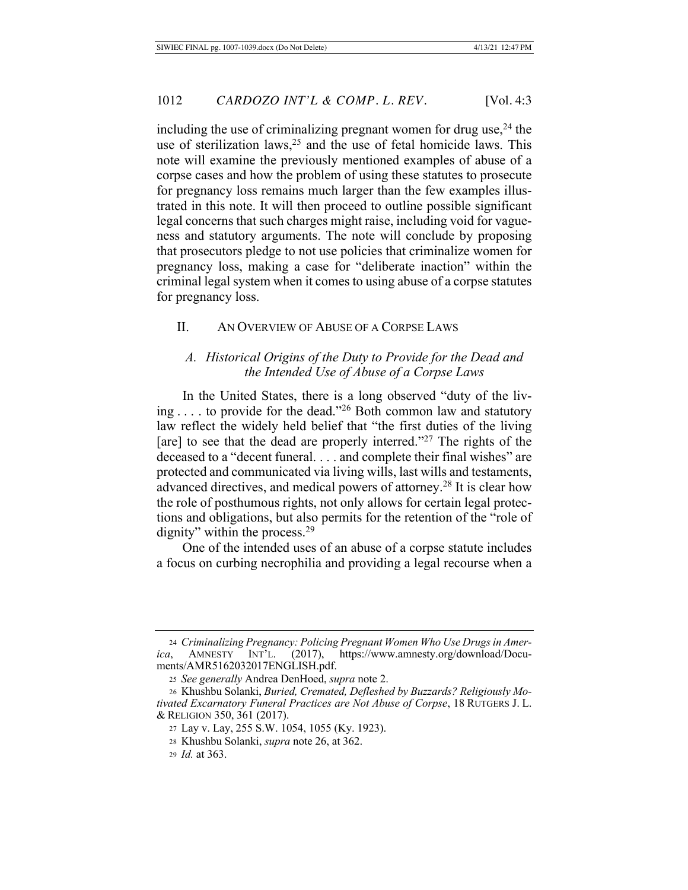including the use of criminalizing pregnant women for drug use,  $24$  the use of sterilization laws,  $2<sup>5</sup>$  and the use of fetal homicide laws. This note will examine the previously mentioned examples of abuse of a corpse cases and how the problem of using these statutes to prosecute for pregnancy loss remains much larger than the few examples illustrated in this note. It will then proceed to outline possible significant legal concerns that such charges might raise, including void for vagueness and statutory arguments. The note will conclude by proposing that prosecutors pledge to not use policies that criminalize women for pregnancy loss, making a case for "deliberate inaction" within the criminal legal system when it comes to using abuse of a corpse statutes for pregnancy loss.

#### II. AN OVERVIEW OF ABUSE OF A CORPSE LAWS

#### A. Historical Origins of the Duty to Provide for the Dead and *the Intended Use of Abuse of a Corpse Laws*

In the United States, there is a long observed "duty of the living ... . to provide for the dead."<sup>26</sup> Both common law and statutory law reflect the widely held belief that "the first duties of the living [are] to see that the dead are properly interred."<sup>27</sup> The rights of the deceased to a "decent funeral.  $\dots$  and complete their final wishes" are protected and communicated via living wills, last wills and testaments, advanced directives, and medical powers of attorney.<sup>28</sup> It is clear how the role of posthumous rights, not only allows for certain legal protections and obligations, but also permits for the retention of the "role of dignity" within the process. $29$ 

One of the intended uses of an abuse of a corpse statute includes a focus on curbing necrophilia and providing a legal recourse when a

<sup>&</sup>lt;sup>24</sup> Criminalizing Pregnancy: Policing Pregnant Women Who Use Drugs in Amer*ica*, AMNESTY INT'L. (2017), https://www.amnesty.org/download/Documents/AMR5162032017ENGLISH.pdf.

<sup>25</sup> See generally Andrea DenHoed, supra note 2.

<sup>26</sup> Khushbu Solanki, Buried, Cremated, Defleshed by Buzzards? Religiously Motivated Excarnatory Funeral Practices are Not Abuse of Corpse, 18 RUTGERS J. L. & RELIGION 350, 361 (2017).

<sup>27</sup> Lay v. Lay, 255 S.W. 1054, 1055 (Ky. 1923).

<sup>28</sup> Khushbu Solanki, *supra* note 26, at 362.

<sup>29</sup> *Id.* at 363.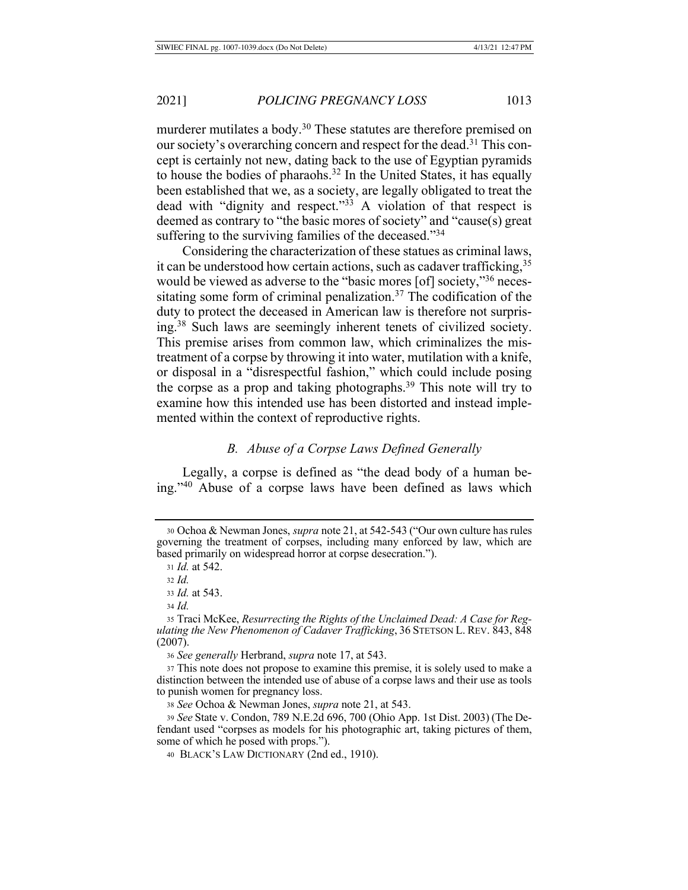murderer mutilates a body.<sup>30</sup> These statutes are therefore premised on our society's overarching concern and respect for the dead.<sup>31</sup> This concept is certainly not new, dating back to the use of Egyptian pyramids to house the bodies of pharaohs.<sup>32</sup> In the United States, it has equally been established that we, as a society, are legally obligated to treat the dead with "dignity and respect."<sup>33</sup> A violation of that respect is deemed as contrary to "the basic mores of society" and "cause(s) great suffering to the surviving families of the deceased." $34$ 

Considering the characterization of these statues as criminal laws, it can be understood how certain actions, such as cadaver trafficking,  $35$ would be viewed as adverse to the "basic mores [of] society,"<sup>36</sup> necessitating some form of criminal penalization.<sup>37</sup> The codification of the duty to protect the deceased in American law is therefore not surprising.<sup>38</sup> Such laws are seemingly inherent tenets of civilized society. This premise arises from common law, which criminalizes the mistreatment of a corpse by throwing it into water, mutilation with a knife, or disposal in a "disrespectful fashion," which could include posing the corpse as a prop and taking photographs.<sup>39</sup> This note will try to examine how this intended use has been distorted and instead implemented within the context of reproductive rights.

#### **B.** Abuse of a Corpse Laws Defined Generally

Legally, a corpse is defined as "the dead body of a human being."<sup>40</sup> Abuse of a corpse laws have been defined as laws which

35 Traci McKee, Resurrecting the Rights of the Unclaimed Dead: A Case for Regulating the New Phenomenon of Cadaver Trafficking, 36 STETSON L. REV. 843, 848  $(2007).$ 

36 See generally Herbrand, *supra* note 17, at 543.

37 This note does not propose to examine this premise, it is solely used to make a distinction between the intended use of abuse of a corpse laws and their use as tools to punish women for pregnancy loss.

38 See Ochoa & Newman Jones, *supra* note 21, at 543.

39 See State v. Condon, 789 N.E.2d 696, 700 (Ohio App. 1st Dist. 2003) (The Defendant used "corpses as models for his photographic art, taking pictures of them, some of which he posed with props.").

40 BLACK'S LAW DICTIONARY (2nd ed., 1910).

<sup>30</sup> Ochoa & Newman Jones, *supra* note 21, at 542-543 ("Our own culture has rules governing the treatment of corpses, including many enforced by law, which are based primarily on widespread horror at corpse desecration.").

<sup>31</sup> *Id.* at 542.

 $32 \text{ Id}$ 

<sup>33</sup> *Id.* at 543.

 $34$  *Id.*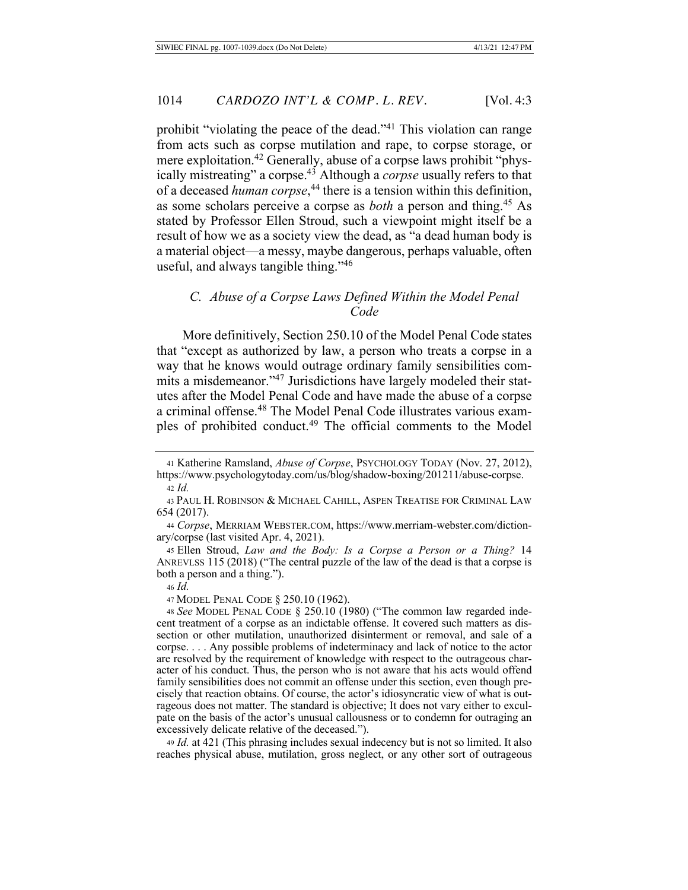prohibit "violating the peace of the dead."<sup>41</sup> This violation can range from acts such as corpse mutilation and rape, to corpse storage, or mere exploitation.<sup>42</sup> Generally, abuse of a corpse laws prohibit "physically mistreating" a corpse.<sup>43</sup> Although a *corpse* usually refers to that of a deceased *human corpse*,<sup>44</sup> there is a tension within this definition, as some scholars perceive a corpse as *both* a person and thing.<sup>45</sup> As stated by Professor Ellen Stroud, such a viewpoint might itself be a result of how we as a society view the dead, as "a dead human body is a material object—a messy, maybe dangerous, perhaps valuable, often useful, and always tangible thing."46

# C. Abuse of a Corpse Laws Defined Within the Model Penal *(*

More definitively, Section 250.10 of the Model Penal Code states that "except as authorized by law, a person who treats a corpse in a way that he knows would outrage ordinary family sensibilities commits a misdemeanor."<sup>47</sup> Jurisdictions have largely modeled their statutes after the Model Penal Code and have made the abuse of a corpse a criminal offense.<sup>48</sup> The Model Penal Code illustrates various examples of prohibited conduct.<sup>49</sup> The official comments to the Model

47 MODEL PENAL CODE § 250.10 (1962).

49 *Id.* at 421 (This phrasing includes sexual indecency but is not so limited. It also reaches physical abuse, mutilation, gross neglect, or any other sort of outrageous

<sup>41</sup> Katherine Ramsland, *Abuse of Corpse*, PSYCHOLOGY TODAY (Nov. 27, 2012), https://www.psychologytoday.com/us/blog/shadow-boxing/201211/abuse-corpse.  $42$  *Id.* 

<sup>43</sup> PAUL H. ROBINSON & MICHAEL CAHILL, ASPEN TREATISE FOR CRIMINAL LAW 654 (2017).

<sup>44</sup> Corpse, MERRIAM WEBSTER.COM, https://www.merriam-webster.com/dictionary/corpse (last visited Apr. 4, 2021).

<sup>45</sup> Ellen Stroud, Law and the Body: Is a Corpse a Person or a Thing? 14 ANREVLSS 115 (2018) ("The central puzzle of the law of the dead is that a corpse is both a person and a thing.").

<sup>46</sup> *Id.* 

<sup>48</sup> See MODEL PENAL CODE § 250.10 (1980) ("The common law regarded indecent treatment of a corpse as an indictable offense. It covered such matters as dissection or other mutilation, unauthorized disinterment or removal, and sale of a  $corpse. \ldots$  Any possible problems of indeterminacy and lack of notice to the actor are resolved by the requirement of knowledge with respect to the outrageous character of his conduct. Thus, the person who is not aware that his acts would offend family sensibilities does not commit an offense under this section, even though precisely that reaction obtains. Of course, the actor's idiosyncratic view of what is outrageous does not matter. The standard is objective; It does not vary either to exculpate on the basis of the actor's unusual callousness or to condemn for outraging an excessively delicate relative of the deceased.").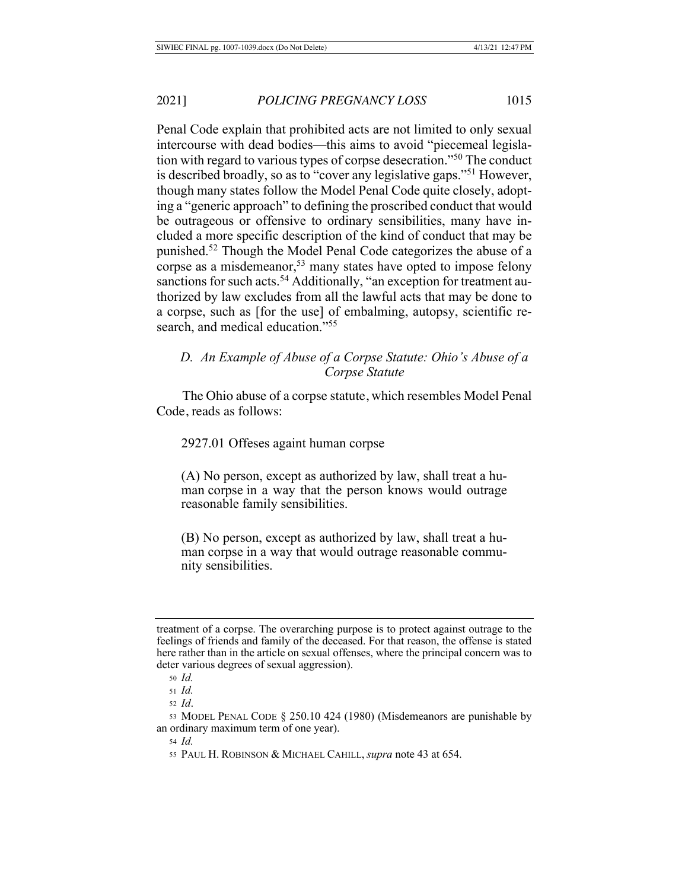Penal Code explain that prohibited acts are not limited to only sexual intercourse with dead bodies—this aims to avoid "piecemeal legislation with regard to various types of corpse desecration."<sup>50</sup> The conduct is described broadly, so as to "cover any legislative gaps."<sup>51</sup> However, though many states follow the Model Penal Code quite closely, adopting a "generic approach" to defining the proscribed conduct that would be outrageous or offensive to ordinary sensibilities, many have included a more specific description of the kind of conduct that may be punished.<sup>52</sup> Though the Model Penal Code categorizes the abuse of a corpse as a misdemeanor,<sup>53</sup> many states have opted to impose felony sanctions for such acts.<sup>54</sup> Additionally, "an exception for treatment authorized by law excludes from all the lawful acts that may be done to a corpse, such as [for the use] of embalming, autopsy, scientific research, and medical education."<sup>55</sup>

# *D. An Example of Abuse of a Corpse Statute: Ohio's Abuse of a Corpse Statute*

 The Ohio abuse of a corpse statute, which resembles Model Penal Code, reads as follows:

2927.01 Offeses againt human corpse

 $(A)$  No person, except as authorized by law, shall treat a human corpse in a way that the person knows would outrage reasonable family sensibilities.

(B) No person, except as authorized by law, shall treat a human corpse in a way that would outrage reasonable community sensibilities.

treatment of a corpse. The overarching purpose is to protect against outrage to the feelings of friends and family of the deceased. For that reason, the offense is stated here rather than in the article on sexual offenses, where the principal concern was to deter various degrees of sexual aggression).

<sup>50</sup> *Id.* 

<sup>51</sup> *Id.* 

<sup>52</sup> *Id.* 

<sup>53</sup> MODEL PENAL CODE  $\S$  250.10 424 (1980) (Misdemeanors are punishable by an ordinary maximum term of one year).

<sup>54</sup> *Id.* 

<sup>55</sup> PAUL H. ROBINSON & MICHAEL CAHILL, *supra* note 43 at 654.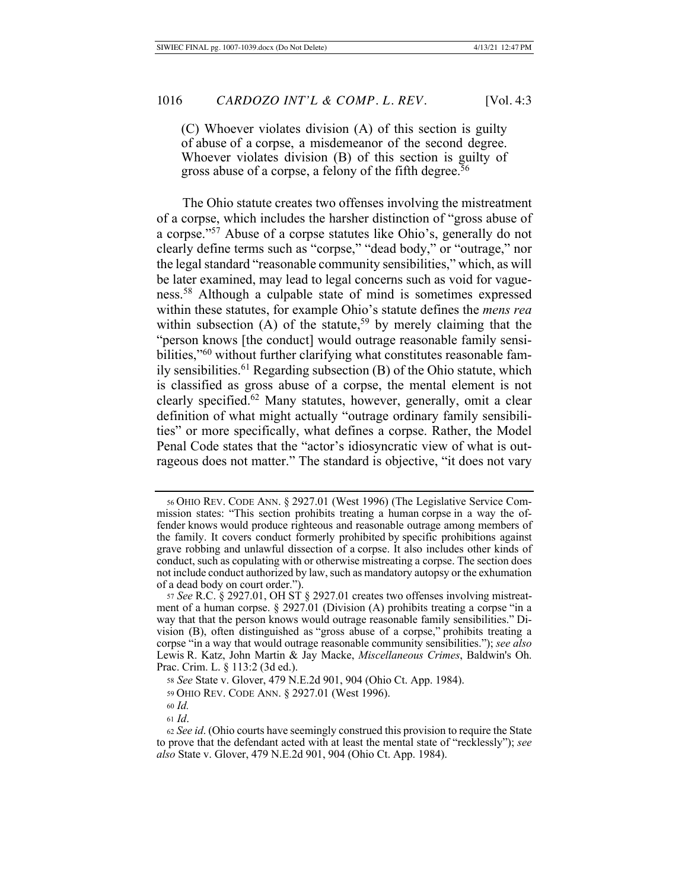$(C)$  Whoever violates division  $(A)$  of this section is guilty of abuse of a corpse, a misdemeanor of the second degree. Whoever violates division (B) of this section is guilty of gross abuse of a corpse, a felony of the fifth degree.<sup> $56$ </sup>

The Ohio statute creates two offenses involving the mistreatment of a corpse, which includes the harsher distinction of "gross abuse of a corpse."<sup>57</sup> Abuse of a corpse statutes like Ohio's, generally do not clearly define terms such as "corpse," "dead body," or "outrage," nor the legal standard "reasonable community sensibilities," which, as will be later examined, may lead to legal concerns such as void for vagueness.<sup>58</sup> Although a culpable state of mind is sometimes expressed within these statutes, for example Ohio's statute defines the *mens rea* within subsection (A) of the statute,<sup>59</sup> by merely claiming that the "person knows [the conduct] would outrage reasonable family sensibilities,"<sup>60</sup> without further clarifying what constitutes reasonable family sensibilities.<sup>61</sup> Regarding subsection  $(B)$  of the Ohio statute, which is classified as gross abuse of a corpse, the mental element is not clearly specified.<sup>62</sup> Many statutes, however, generally, omit a clear definition of what might actually "outrage ordinary family sensibilities" or more specifically, what defines a corpse. Rather, the Model Penal Code states that the "actor's idiosyncratic view of what is outrageous does not matter." The standard is objective, "it does not vary

 $61$  *Id.* 

<sup>56</sup> OHIO REV. CODE ANN. § 2927.01 (West 1996) (The Legislative Service Commission states: "This section prohibits treating a human corpse in a way the offender knows would produce righteous and reasonable outrage among members of the family. It covers conduct formerly prohibited by specific prohibitions against grave robbing and unlawful dissection of a corpse. It also includes other kinds of conduct, such as copulating with or otherwise mistreating a corpse. The section does not include conduct authorized by law, such as mandatory autopsy or the exhumation of a dead body on court order.").

<sup>57</sup> See R.C. § 2927.01, OH ST § 2927.01 creates two offenses involving mistreatment of a human corpse. § 2927.01 (Division (A) prohibits treating a corpse "in a way that that the person knows would outrage reasonable family sensibilities." Division (B), often distinguished as "gross abuse of a corpse," prohibits treating a corpse "in a way that would outrage reasonable community sensibilities."); see also Lewis R. Katz, John Martin & Jay Macke, *Miscellaneous Crimes*, Baldwin's Oh. Prac. Crim. L. § 113:2 (3d ed.).

<sup>58</sup> See State v. Glover, 479 N.E.2d 901, 904 (Ohio Ct. App. 1984).

<sup>59</sup> OHIO REV. CODE ANN. § 2927.01 (West 1996).

<sup>60</sup> *Id.* 

<sup>62</sup> See id. (Ohio courts have seemingly construed this provision to require the State to prove that the defendant acted with at least the mental state of "recklessly"); see also State v. Glover, 479 N.E.2d 901, 904 (Ohio Ct. App. 1984).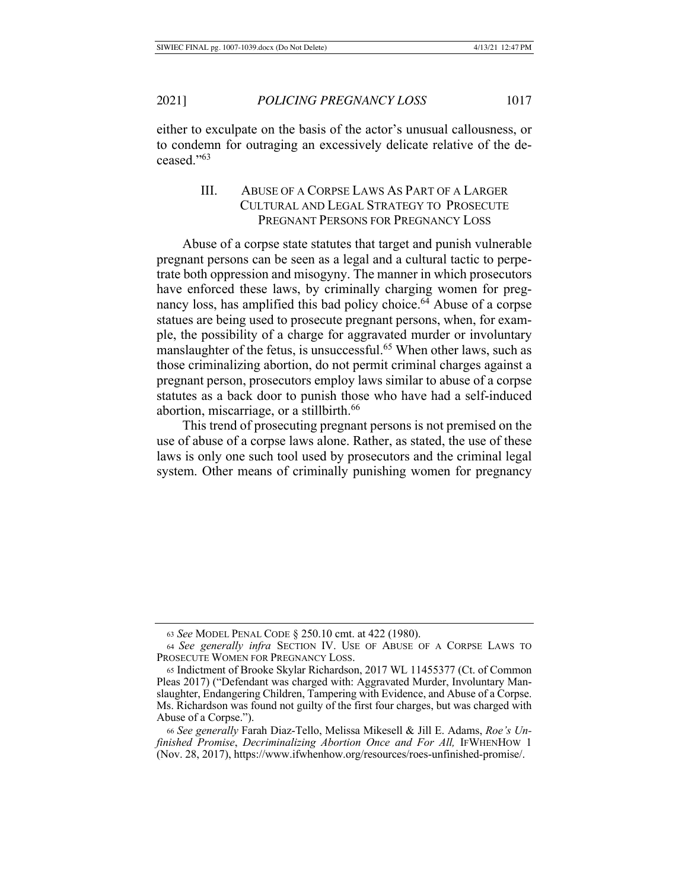either to exculpate on the basis of the actor's unusual callousness, or to condemn for outraging an excessively delicate relative of the deceased. $1,53$ 

## III. ABUSE OF A CORPSE LAWS AS PART OF A LARGER CULTURAL AND LEGAL STRATEGY TO PROSECUTE PREGNANT PERSONS FOR PREGNANCY LOSS

Abuse of a corpse state statutes that target and punish vulnerable pregnant persons can be seen as a legal and a cultural tactic to perpetrate both oppression and misogyny. The manner in which prosecutors have enforced these laws, by criminally charging women for pregnancy loss, has amplified this bad policy choice.<sup>64</sup> Abuse of a corpse statues are being used to prosecute pregnant persons, when, for example, the possibility of a charge for aggravated murder or involuntary manslaughter of the fetus, is unsuccessful.<sup>65</sup> When other laws, such as those criminalizing abortion, do not permit criminal charges against a pregnant person, prosecutors employ laws similar to abuse of a corpse statutes as a back door to punish those who have had a self-induced abortion, miscarriage, or a stillbirth.<sup>66</sup>

This trend of prosecuting pregnant persons is not premised on the use of abuse of a corpse laws alone. Rather, as stated, the use of these laws is only one such tool used by prosecutors and the criminal legal system. Other means of criminally punishing women for pregnancy

<sup>63</sup> See MODEL PENAL CODE § 250.10 cmt. at 422 (1980).

<sup>64</sup> See generally infra SECTION IV. USE OF ABUSE OF A CORPSE LAWS TO PROSECUTE WOMEN FOR PREGNANCY LOSS.

<sup>65</sup> Indictment of Brooke Skylar Richardson, 2017 WL 11455377 (Ct. of Common Pleas 2017) ("Defendant was charged with: Aggravated Murder, Involuntary Manslaughter, Endangering Children, Tampering with Evidence, and Abuse of a Corpse. Ms. Richardson was found not guilty of the first four charges, but was charged with Abuse of a Corpse.").

<sup>66</sup> See generally Farah Diaz-Tello, Melissa Mikesell & Jill E. Adams, Roe's Un*finished Promise, Decriminalizing Abortion Once and For All, IFWHENHOW 1* (Nov. 28, 2017), https://www.ifwhenhow.org/resources/roes-unfinished-promise/.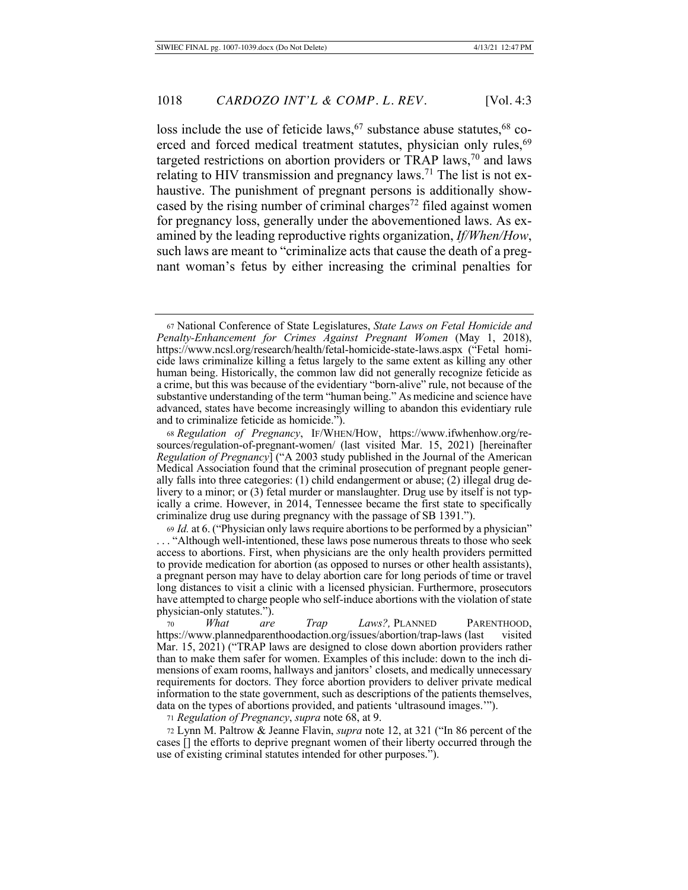loss include the use of feticide laws,  $67$  substance abuse statutes,  $68$  coerced and forced medical treatment statutes, physician only rules, <sup>69</sup> targeted restrictions on abortion providers or TRAP laws,<sup>70</sup> and laws relating to HIV transmission and pregnancy laws.<sup>71</sup> The list is not exhaustive. The punishment of pregnant persons is additionally showcased by the rising number of criminal charges<sup>72</sup> filed against women for pregnancy loss, generally under the abovementioned laws. As examined by the leading reproductive rights organization, *If/When/How*, such laws are meant to "criminalize acts that cause the death of a pregnant woman's fetus by either increasing the criminal penalties for

68 Regulation of Pregnancy, IF/WHEN/HOW, https://www.ifwhenhow.org/resources/regulation-of-pregnant-women/ (last visited Mar. 15, 2021) [hereinafter *Regulation of Pregnancy*] ("A 2003 study published in the Journal of the American Medical Association found that the criminal prosecution of pregnant people generally falls into three categories: (1) child endangerment or abuse; (2) illegal drug delivery to a minor; or (3) fetal murder or manslaughter. Drug use by itself is not typically a crime. However, in 2014, Tennessee became the first state to specifically criminalize drug use during pregnancy with the passage of SB 1391.").

69 *Id.* at 6. ("Physician only laws require abortions to be performed by a physician" ... "Although well-intentioned, these laws pose numerous threats to those who seek access to abortions. First, when physicians are the only health providers permitted to provide medication for abortion (as opposed to nurses or other health assistants), a pregnant person may have to delay abortion care for long periods of time or travel long distances to visit a clinic with a licensed physician. Furthermore, prosecutors have attempted to charge people who self-induce abortions with the violation of state physician-only statutes.").

 -*What* are *Trap Laws?*, PLANNED PARENTHOOD, https://www.plannedparenthoodaction.org/issues/abortion/trap-laws (last visited Mar. 15, 2021) ("TRAP laws are designed to close down abortion providers rather than to make them safer for women. Examples of this include: down to the inch dimensions of exam rooms, hallways and janitors' closets, and medically unnecessary requirements for doctors. They force abortion providers to deliver private medical information to the state government, such as descriptions of the patients themselves, data on the types of abortions provided, and patients 'ultrasound images."").

71 Regulation of Pregnancy, supra note 68, at 9.

72 Lynn M. Paltrow & Jeanne Flavin, *supra* note 12, at 321 ("In 86 percent of the cases  $\overline{1}$  the efforts to deprive pregnant women of their liberty occurred through the use of existing criminal statutes intended for other purposes.").

<sup>67</sup> National Conference of State Legislatures, State Laws on Fetal Homicide and *Penalty-Enhancement for Crimes Against Pregnant Women* (May 1, 2018), https://www.ncsl.org/research/health/fetal-homicide-state-laws.aspx ("Fetal homicide laws criminalize killing a fetus largely to the same extent as killing any other human being. Historically, the common law did not generally recognize feticide as a crime, but this was because of the evidentiary "born-alive" rule, not because of the substantive understanding of the term "human being." As medicine and science have advanced, states have become increasingly willing to abandon this evidentiary rule and to criminalize feticide as homicide.").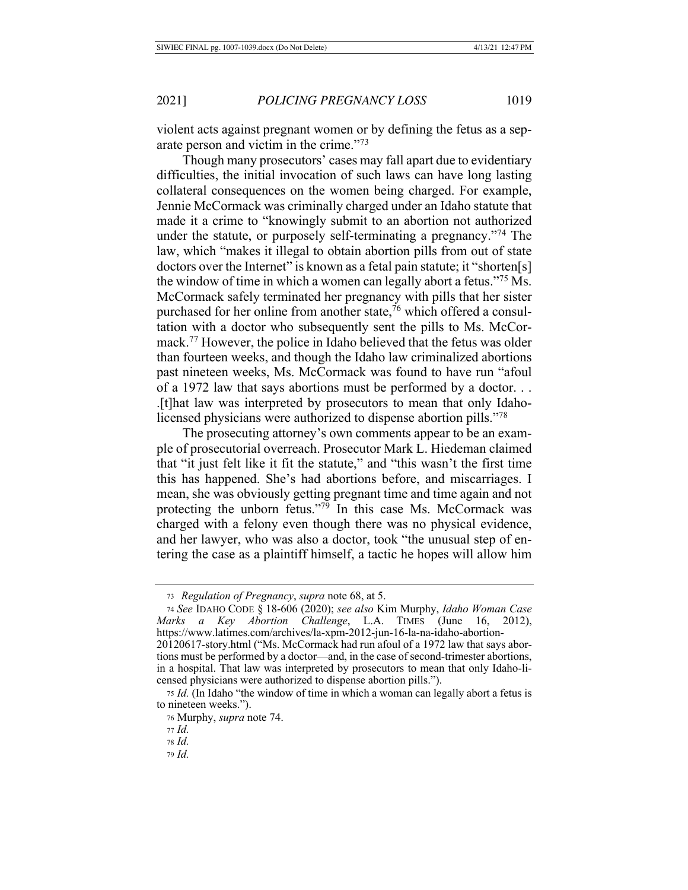violent acts against pregnant women or by defining the fetus as a separate person and victim in the crime." $73$ 

Though many prosecutors' cases may fall apart due to evidentiary difficulties, the initial invocation of such laws can have long lasting collateral consequences on the women being charged. For example, Jennie McCormack was criminally charged under an Idaho statute that made it a crime to "knowingly submit to an abortion not authorized under the statute, or purposely self-terminating a pregnancy."<sup>74</sup> The law, which "makes it illegal to obtain abortion pills from out of state doctors over the Internet" is known as a fetal pain statute; it "shorten[s] the window of time in which a women can legally abort a fetus."<sup>75</sup> Ms. McCormack safely terminated her pregnancy with pills that her sister purchased for her online from another state,  $\frac{7}{6}$  which offered a consultation with a doctor who subsequently sent the pills to Ms. McCormack.<sup>77</sup> However, the police in Idaho believed that the fetus was older than fourteen weeks, and though the Idaho law criminalized abortions past nineteen weeks, Ms. McCormack was found to have run "afoul" of a 1972 law that says abortions must be performed by a doctor... . [t] hat law was interpreted by prosecutors to mean that only Idaholicensed physicians were authorized to dispense abortion pills."<sup>78</sup>

The prosecuting attorney's own comments appear to be an example of prosecutorial overreach. Prosecutor Mark L. Hiedeman claimed that "it just felt like it fit the statute," and "this wasn't the first time this has happened. She's had abortions before, and miscarriages. I mean, she was obviously getting pregnant time and time again and not protecting the unborn fetus."<sup>79</sup> In this case Ms. McCormack was charged with a felony even though there was no physical evidence, and her lawyer, who was also a doctor, took "the unusual step of entering the case as a plaintiff himself, a tactic he hopes will allow him

<sup>73</sup> Regulation of Pregnancy, supra note 68, at 5.

<sup>74</sup> See IDAHO CODE § 18-606 (2020); see also Kim Murphy, Idaho Woman Case Marks a Key Abortion Challenge, L.A. TIMES (June 16, 2012), https://www.latimes.com/archives/la-xpm-2012-jun-16-la-na-idaho-abortion-20120617-story.html ("Ms. McCormack had run afoul of a 1972 law that says abortions must be performed by a doctor—and, in the case of second-trimester abortions, in a hospital. That law was interpreted by prosecutors to mean that only Idaho-licensed physicians were authorized to dispense abortion pills.").

<sup>75</sup> Id. (In Idaho "the window of time in which a woman can legally abort a fetus is to nineteen weeks.").

<sup>&</sup>lt;sup>76</sup> Murphy, *supra* note 74.

<sup>77</sup> *Id.* 

 *.*

<sup>79</sup> Id.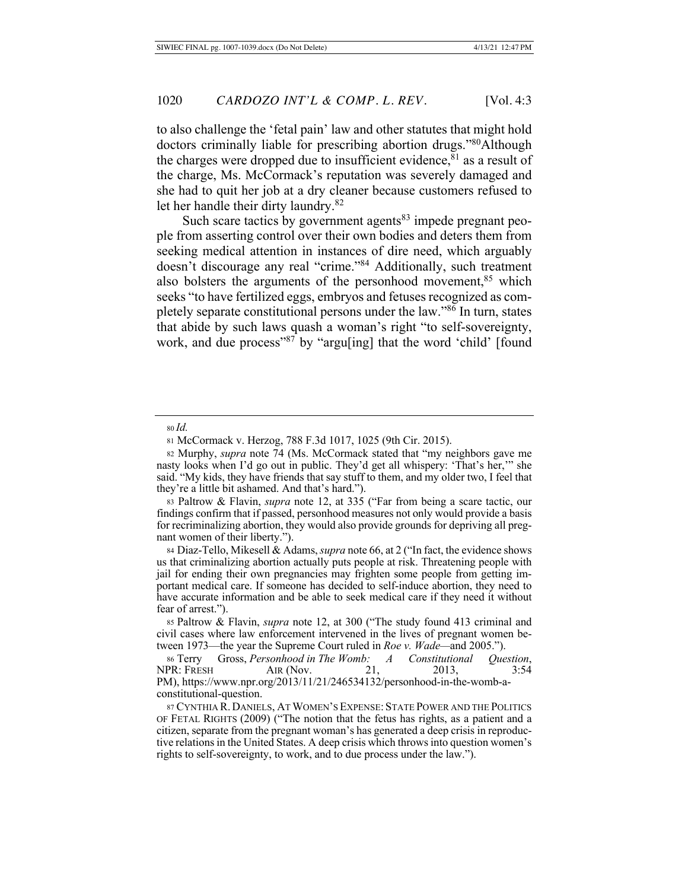to also challenge the 'fetal pain' law and other statutes that might hold doctors criminally liable for prescribing abortion drugs."<sup>80</sup>Although the charges were dropped due to insufficient evidence,  $81$  as a result of the charge, Ms. McCormack's reputation was severely damaged and she had to quit her job at a dry cleaner because customers refused to let her handle their dirty laundry.<sup>82</sup>

Such scare tactics by government agents<sup>83</sup> impede pregnant people from asserting control over their own bodies and deters them from seeking medical attention in instances of dire need, which arguably doesn't discourage any real "crime."<sup>84</sup> Additionally, such treatment also bolsters the arguments of the personhood movement,  $85$  which seeks "to have fertilized eggs, embryos and fetuses recognized as completely separate constitutional persons under the law."<sup>86</sup> In turn, states that abide by such laws quash a woman's right "to self-sovereignty, work, and due process"<sup>87</sup> by "argu[ing] that the word 'child' [found

84 Diaz-Tello, Mikesell & Adams, *supra* note 66, at 2 ("In fact, the evidence shows us that criminalizing abortion actually puts people at risk. Threatening people with jail for ending their own pregnancies may frighten some people from getting important medical care. If someone has decided to self-induce abortion, they need to have accurate information and be able to seek medical care if they need it without fear of arrest.").

85 Paltrow & Flavin, *supra* note 12, at 300 ("The study found 413 criminal and civil cases where law enforcement intervened in the lives of pregnant women between 1973—the year the Supreme Court ruled in Roe v. Wade—and 2005.").

86 Terry Gross, Personhood in The Womb: A Constitutional Question, NPR: FRESH AIR (Nov. 21, 2013, 3:54 PM), https://www.npr.org/2013/11/21/246534132/personhood-in-the-womb-aconstitutional-question.

87 CYNTHIA R. DANIELS, AT WOMEN'S EXPENSE: STATE POWER AND THE POLITICS OF FETAL RIGHTS (2009) ("The notion that the fetus has rights, as a patient and a citizen, separate from the pregnant woman's has generated a deep crisis in reproductive relations in the United States. A deep crisis which throws into question women's rights to self-sovereignty, to work, and to due process under the law.").

<sup>80</sup> *Id.* 

<sup>81</sup> McCormack v. Herzog, 788 F.3d 1017, 1025 (9th Cir. 2015).

<sup>82</sup> Murphy, *supra* note 74 (Ms. McCormack stated that "my neighbors gave me nasty looks when I'd go out in public. They'd get all whispery: 'That's her," she said. "My kids, they have friends that say stuff to them, and my older two, I feel that they're a little bit ashamed. And that's hard.").

<sup>83</sup> Paltrow & Flavin, *supra* note 12, at 335 ("Far from being a scare tactic, our findings confirm that if passed, personhood measures not only would provide a basis for recriminalizing abortion, they would also provide grounds for depriving all pregnant women of their liberty.").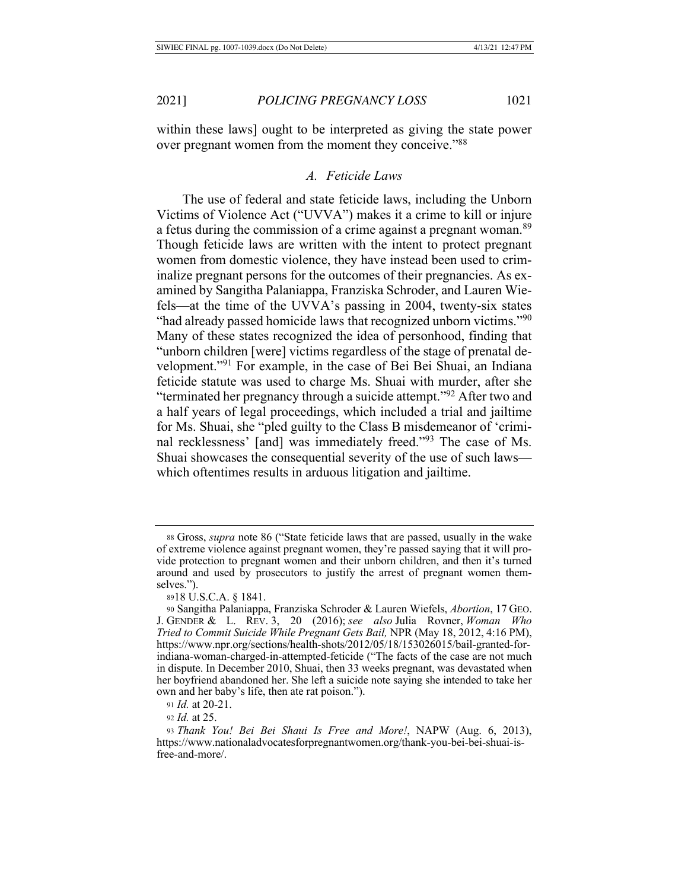within these laws] ought to be interpreted as giving the state power over pregnant women from the moment they conceive."88

#### *A Feticide Laws*

The use of federal and state feticide laws, including the Unborn Victims of Violence Act ("UVVA") makes it a crime to kill or injure a fetus during the commission of a crime against a pregnant woman.<sup>89</sup> Though feticide laws are written with the intent to protect pregnant women from domestic violence, they have instead been used to criminalize pregnant persons for the outcomes of their pregnancies. As examined by Sangitha Palaniappa, Franziska Schroder, and Lauren Wiefels—at the time of the UVVA's passing in 2004, twenty-six states "had already passed homicide laws that recognized unborn victims."<sup>90</sup> Many of these states recognized the idea of personhood, finding that "unborn children [were] victims regardless of the stage of prenatal development."<sup>91</sup> For example, in the case of Bei Bei Shuai, an Indiana feticide statute was used to charge Ms. Shuai with murder, after she "terminated her pregnancy through a suicide attempt."<sup>92</sup> After two and a half years of legal proceedings, which included a trial and jailtime for Ms. Shuai, she "pled guilty to the Class B misdemeanor of 'criminal recklessness' [and] was immediately freed."<sup>93</sup> The case of Ms. Shuai showcases the consequential severity of the use of such laws which oftentimes results in arduous litigation and jailtime.

91 *Id.* at 20-21.

92 *Id.* at 25.

<sup>88</sup> Gross, *supra* note 86 ("State feticide laws that are passed, usually in the wake of extreme violence against pregnant women, they're passed saying that it will provide protection to pregnant women and their unborn children, and then it's turned around and used by prosecutors to justify the arrest of pregnant women themselves.").

<sup>8918</sup> U.S.C.A. § 1841.

<sup>90</sup> Sangitha Palaniappa, Franziska Schroder & Lauren Wiefels, Abortion, 17 GEO. J. GENDER & L. REV. 3, 20 (2016); see also Julia Rovner, Woman Who Tried to Commit Suicide While Pregnant Gets Bail, NPR (May 18, 2012, 4:16 PM), https://www.npr.org/sections/health-shots/2012/05/18/153026015/bail-granted-forindiana-woman-charged-in-attempted-feticide ("The facts of the case are not much in dispute. In December 2010, Shuai, then 33 weeks pregnant, was devastated when her boyfriend abandoned her. She left a suicide note saying she intended to take her own and her baby's life, then ate rat poison.").

<sup>93</sup> Thank You! Bei Bei Shaui Is Free and More!, NAPW (Aug. 6, 2013), https://www.nationaladvocatesforpregnantwomen.org/thank-you-bei-bei-shuai-isfree-and-more/.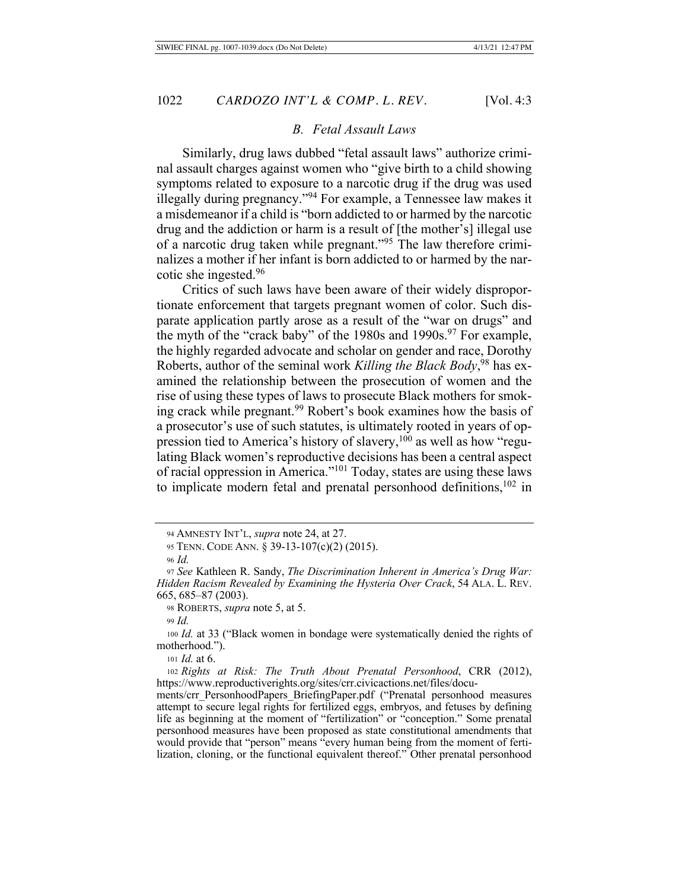#### *B. Fetal Assault Laws*

Similarly, drug laws dubbed "fetal assault laws" authorize criminal assault charges against women who "give birth to a child showing symptoms related to exposure to a narcotic drug if the drug was used illegally during pregnancy."<sup>94</sup> For example, a Tennessee law makes it a misdemean or if a child is "born addicted to or harmed by the narcotic drug and the addiction or harm is a result of [the mother's] illegal use of a narcotic drug taken while pregnant."<sup>95</sup> The law therefore criminalizes a mother if her infant is born addicted to or harmed by the narcotic she ingested.  $96$ 

Critics of such laws have been aware of their widely disproportionate enforcement that targets pregnant women of color. Such disparate application partly arose as a result of the "war on drugs" and the myth of the "crack baby" of the 1980s and 1990s.<sup>97</sup> For example, the highly regarded advocate and scholar on gender and race, Dorothy Roberts, author of the seminal work Killing the Black Body,<sup>98</sup> has examined the relationship between the prosecution of women and the rise of using these types of laws to prosecute Black mothers for smoking crack while pregnant.<sup>99</sup> Robert's book examines how the basis of a prosecutor's use of such statutes, is ultimately rooted in years of oppression tied to America's history of slavery,<sup>100</sup> as well as how "regulating Black women's reproductive decisions has been a central aspect of racial oppression in America."<sup>101</sup> Today, states are using these laws to implicate modern fetal and prenatal personhood definitions,  $102$  in

99 Id.

100 Id. at 33 ("Black women in bondage were systematically denied the rights of motherhood.").

101 *Id.* at 6.

102 Rights at Risk: The Truth About Prenatal Personhood, CRR (2012), https://www.reproductiverights.org/sites/crr.civicactions.net/files/docu-

ments/crr\_PersonhoodPapers\_BriefingPaper.pdf ("Prenatal personhood measures attempt to secure legal rights for fertilized eggs, embryos, and fetuses by defining life as beginning at the moment of "fertilization" or "conception." Some prenatal personhood measures have been proposed as state constitutional amendments that would provide that "person" means "every human being from the moment of fertilization, cloning, or the functional equivalent thereof." Other prenatal personhood

<sup>94</sup> AMNESTY INT'L, *supra* note 24, at 27.

<sup>95</sup> TENN. CODE ANN. § 39-13-107(c)(2) (2015).

*<sup>.</sup>*

<sup>97</sup> See Kathleen R. Sandy, The Discrimination Inherent in America's Drug War: Hidden Racism Revealed by Examining the Hysteria Over Crack, 54 ALA. L. REV. 665, 685-87 (2003).

<sup>98</sup> ROBERTS, *supra* note 5, at 5.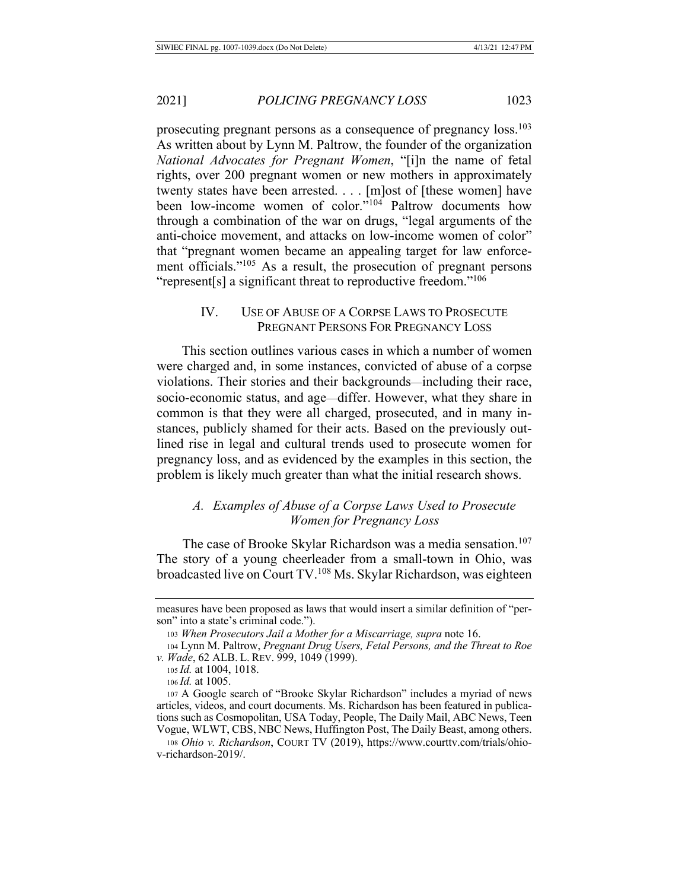prosecuting pregnant persons as a consequence of pregnancy loss.<sup>103</sup> As written about by Lynn M. Paltrow, the founder of the organization *National Advocates for Pregnant Women,* "[i]n the name of fetal rights, over 200 pregnant women or new mothers in approximately twenty states have been arrested. . . . [m]ost of [these women] have been low-income women of color."<sup>104</sup> Paltrow documents how through a combination of the war on drugs, "legal arguments of the anti-choice movement, and attacks on low-income women of color" that "pregnant women became an appealing target for law enforcement officials."<sup>105</sup> As a result, the prosecution of pregnant persons "represent[s] a significant threat to reproductive freedom."<sup>106</sup>

# IV. USE OF ABUSE OF A CORPSE LAWS TO PROSECUTE PREGNANT PERSONS FOR PREGNANCY LOSS

This section outlines various cases in which a number of women were charged and, in some instances, convicted of abuse of a corpse violations. Their stories and their backgrounds—including their race, socio-economic status, and age—differ. However, what they share in common is that they were all charged, prosecuted, and in many instances, publicly shamed for their acts. Based on the previously outlined rise in legal and cultural trends used to prosecute women for pregnancy loss, and as evidenced by the examples in this section, the problem is likely much greater than what the initial research shows.

## A. Examples of Abuse of a Corpse Laws Used to Prosecute *Women for Pregnancy Loss*

The case of Brooke Skylar Richardson was a media sensation.<sup>107</sup> The story of a young cheerleader from a small-town in Ohio, was broadcasted live on Court TV.<sup>108</sup> Ms. Skylar Richardson, was eighteen

105 *Id.* at 1004, 1018.

measures have been proposed as laws that would insert a similar definition of "person" into a state's criminal code.").

<sup>103</sup> When Prosecutors Jail a Mother for a Miscarriage, supra note 16.

<sup>104</sup> Lynn M. Paltrow, Pregnant Drug Users, Fetal Persons, and the Threat to Roe v. *Wade*, 62 ALB. L. REV. 999, 1049 (1999).

<sup>106</sup> *Id.* at 1005.

<sup>107</sup> A Google search of "Brooke Skylar Richardson" includes a myriad of news articles, videos, and court documents. Ms. Richardson has been featured in publications such as Cosmopolitan, USA Today, People, The Daily Mail, ABC News, Teen Vogue, WLWT, CBS, NBC News, Huffington Post, The Daily Beast, among others.

<sup>108</sup> Ohio v. Richardson, COURT TV (2019), https://www.courttv.com/trials/ohiov-richardson-2019/.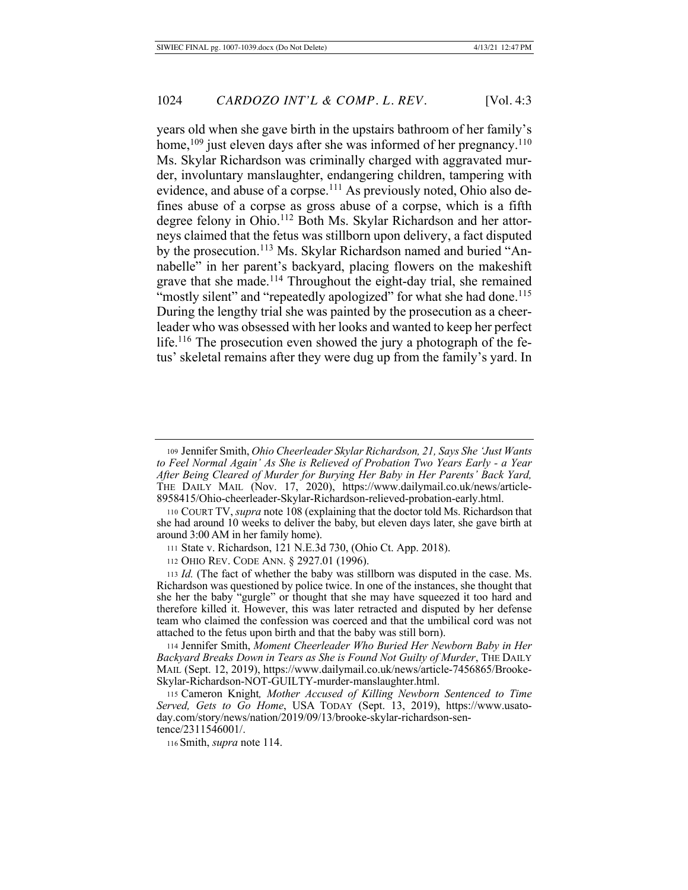years old when she gave birth in the upstairs bathroom of her family's home,  $^{109}$  just eleven days after she was informed of her pregnancy.  $^{110}$ Ms. Skylar Richardson was criminally charged with aggravated murder, involuntary manslaughter, endangering children, tampering with evidence, and abuse of a corpse.<sup>111</sup> As previously noted, Ohio also defines abuse of a corpse as gross abuse of a corpse, which is a fifth degree felony in Ohio.<sup>112</sup> Both Ms. Skylar Richardson and her attorneys claimed that the fetus was stillborn upon delivery, a fact disputed by the prosecution.<sup>113</sup> Ms. Skylar Richardson named and buried "Annabelle" in her parent's backyard, placing flowers on the makeshift grave that she made.<sup>114</sup> Throughout the eight-day trial, she remained "mostly silent" and "repeatedly apologized" for what she had done.<sup>115</sup> During the lengthy trial she was painted by the prosecution as a cheerleader who was obsessed with her looks and wanted to keep her perfect life.<sup>116</sup> The prosecution even showed the jury a photograph of the fetus' skeletal remains after they were dug up from the family's yard. In

111 State v. Richardson, 121 N.E.3d 730, (Ohio Ct. App. 2018).

112 OHIO REV. CODE ANN. § 2927.01 (1996).

113 *Id.* (The fact of whether the baby was stillborn was disputed in the case. Ms. Richardson was questioned by police twice. In one of the instances, she thought that she her the baby "gurgle" or thought that she may have squeezed it too hard and therefore killed it. However, this was later retracted and disputed by her defense team who claimed the confession was coerced and that the umbilical cord was not attached to the fetus upon birth and that the baby was still born).

114 Jennifer Smith, Moment Cheerleader Who Buried Her Newborn Baby in Her Backyard Breaks Down in Tears as She is Found Not Guilty of Murder, THE DAILY MAIL (Sept. 12, 2019), https://www.dailymail.co.uk/news/article-7456865/Brooke-Skylar-Richardson-NOT-GUILTY-murder-manslaughter.html.

115 Cameron Knight, Mother Accused of Killing Newborn Sentenced to Time Served, Gets to Go Home, USA TODAY (Sept. 13, 2019), https://www.usatoday.com/story/news/nation/2019/09/13/brooke-skylar-richardson-sentence/2311546001/.

116 Smith, *supra* note 114.

<sup>109</sup> Jennifer Smith, Ohio Cheerleader Skylar Richardson, 21, Says She 'Just Wants' to Feel Normal Again' As She is Relieved of Probation Two Years Early - a Year After Being Cleared of Murder for Burying Her Baby in Her Parents' Back Yard, THE DAILY MAIL (Nov. 17, 2020), https://www.dailymail.co.uk/news/article-8958415/Ohio-cheerleader-Skylar-Richardson-relieved-probation-early.html.

<sup>110</sup> COURT TV, supra note 108 (explaining that the doctor told Ms. Richardson that she had around 10 weeks to deliver the baby, but eleven days later, she gave birth at around 3:00 AM in her family home).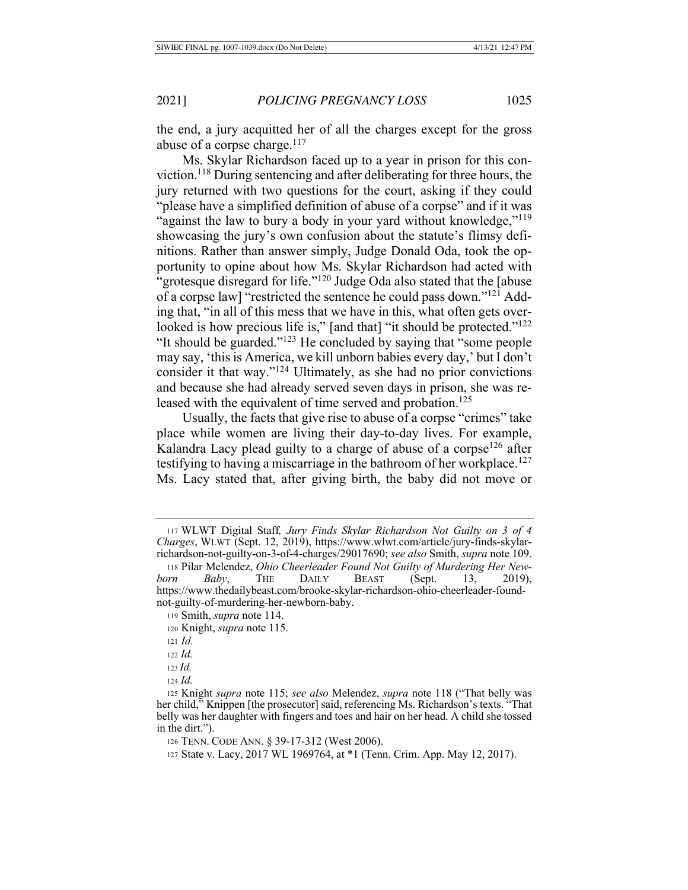the end, a jury acquitted her of all the charges except for the gross abuse of a corpse charge. $117$ 

Ms. Skylar Richardson faced up to a year in prison for this conviction.<sup>118</sup> During sentencing and after deliberating for three hours, the jury returned with two questions for the court, asking if they could "please have a simplified definition of abuse of a corpse" and if it was "against the law to bury a body in your yard without knowledge,"<sup>119</sup> showcasing the jury's own confusion about the statute's flimsy definitions. Rather than answer simply, Judge Donald Oda, took the opportunity to opine about how Ms. Skylar Richardson had acted with "grotesque disregard for life." $120$  Judge Oda also stated that the [abuse] of a corpse law] "restricted the sentence he could pass down."<sup>121</sup> Adding that, "in all of this mess that we have in this, what often gets overlooked is how precious life is," [and that] "it should be protected." $^{122}$ "It should be guarded."<sup>123</sup> He concluded by saying that "some people" may say, 'this is America, we kill unborn babies every day,' but I don't consider it that way." $124$  Ultimately, as she had no prior convictions and because she had already served seven days in prison, she was released with the equivalent of time served and probation.<sup>125</sup>

Usually, the facts that give rise to abuse of a corpse "crimes" take place while women are living their day-to-day lives. For example, Kalandra Lacy plead guilty to a charge of abuse of a corpse<sup>126</sup> after testifying to having a miscarriage in the bathroom of her workplace.<sup>127</sup> Ms. Lacy stated that, after giving birth, the baby did not move or

<sup>117</sup> WLWT Digital Staff, Jury Finds Skylar Richardson Not Guilty on 3 of 4 Charges, WLWT (Sept. 12, 2019), https://www.wlwt.com/article/jury-finds-skylarrichardson-not-guilty-on-3-of-4-charges/29017690; see also Smith, supra note 109.

<sup>118</sup> Pilar Melendez, Ohio Cheerleader Found Not Guilty of Murdering Her Newborn Baby, THE DAILY BEAST (Sept. (Sept. 13, 2019), https://www.thedailybeast.com/brooke-skylar-richardson-ohio-cheerleader-foundnot-guilty-of-murdering-her-newborn-baby.

<sup>119</sup> Smith, *supra* note 114.

<sup>120</sup> Knight, *supra* note 115.

 $121 \, Id.$ 

 $122$  *Id.* 

 $123$  *Id.* 

<sup>124</sup> *Id.* 

<sup>125</sup> Knight supra note 115; see also Melendez, supra note 118 ("That belly was her child," Knippen [the prosecutor] said, referencing Ms. Richardson's texts. "That belly was her daughter with fingers and toes and hair on her head. A child she tossed in the dirt.").

<sup>126</sup> TENN. CODE ANN. § 39-17-312 (West 2006).

<sup>127</sup> State v. Lacy, 2017 WL 1969764, at \*1 (Tenn. Crim. App. May 12, 2017).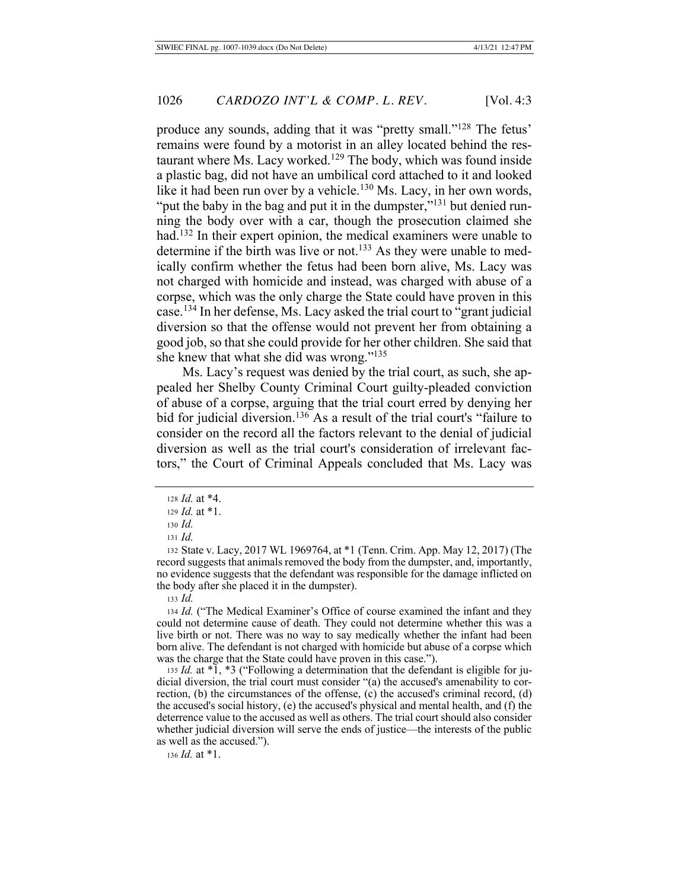produce any sounds, adding that it was "pretty small."<sup>128</sup> The fetus' remains were found by a motorist in an alley located behind the restaurant where Ms. Lacy worked.<sup>129</sup> The body, which was found inside a plastic bag, did not have an umbilical cord attached to it and looked like it had been run over by a vehicle.<sup>130</sup> Ms. Lacy, in her own words, "put the baby in the bag and put it in the dumpster,"<sup>131</sup> but denied running the body over with a car, though the prosecution claimed she had.<sup>132</sup> In their expert opinion, the medical examiners were unable to determine if the birth was live or not.<sup>133</sup> As they were unable to medically confirm whether the fetus had been born alive, Ms. Lacy was not charged with homicide and instead, was charged with abuse of a corpse, which was the only charge the State could have proven in this case.<sup>134</sup> In her defense, Ms. Lacy asked the trial court to "grant judicial" diversion so that the offense would not prevent her from obtaining a good job, so that she could provide for her other children. She said that she knew that what she did was wrong." $135$ 

Ms. Lacy's request was denied by the trial court, as such, she appealed her Shelby County Criminal Court guilty-pleaded conviction of abuse of a corpse, arguing that the trial court erred by denying her bid for judicial diversion.<sup>136</sup> As a result of the trial court's "failure to consider on the record all the factors relevant to the denial of judicial diversion as well as the trial court's consideration of irrelevant factors," the Court of Criminal Appeals concluded that Ms. Lacy was

132 State v. Lacy, 2017 WL 1969764, at \*1 (Tenn. Crim. App. May 12, 2017) (The record suggests that animals removed the body from the dumpster, and, importantly, no evidence suggests that the defendant was responsible for the damage inflicted on the body after she placed it in the dumpster).

133 *Id.* 

134 Id. ("The Medical Examiner's Office of course examined the infant and they could not determine cause of death. They could not determine whether this was a live birth or not. There was no way to say medically whether the infant had been born alive. The defendant is not charged with homicide but abuse of a corpse which was the charge that the State could have proven in this case.").

135 *Id.* at \*1, \*3 ("Following a determination that the defendant is eligible for judicial diversion, the trial court must consider "(a) the accused's amenability to correction, (b) the circumstances of the offense, (c) the accused's criminal record, (d) the accused's social history, (e) the accused's physical and mental health, and (f) the deterrence value to the accused as well as others. The trial court should also consider whether judicial diversion will serve the ends of justice—the interests of the public as well as the accused.").

136 *Id.* at \*1.

<sup>128</sup> *Id.* at \*4.

<sup>129</sup>  $Id.$  at  $*1.$ 

<sup>130</sup> *Id.* 

 $131$  *Id.*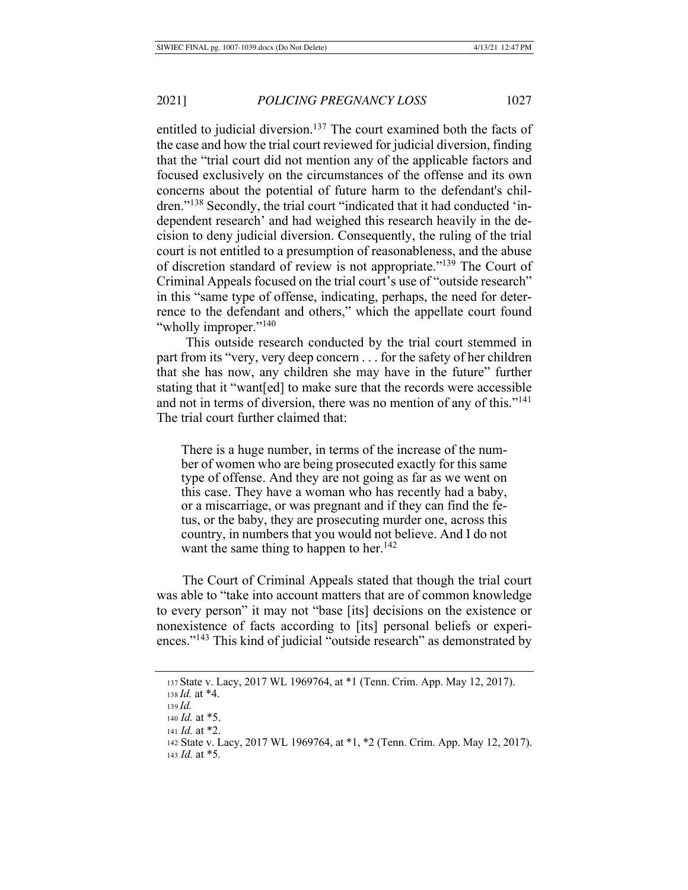entitled to judicial diversion.<sup>137</sup> The court examined both the facts of the case and how the trial court reviewed for judicial diversion, finding that the "trial court did not mention any of the applicable factors and focused exclusively on the circumstances of the offense and its own concerns about the potential of future harm to the defendant's children."<sup>138</sup> Secondly, the trial court "indicated that it had conducted 'independent research' and had weighed this research heavily in the decision to deny judicial diversion. Consequently, the ruling of the trial court is not entitled to a presumption of reasonableness, and the abuse of discretion standard of review is not appropriate."<sup>139</sup> The Court of Criminal Appeals focused on the trial court's use of "outside research" in this "same type of offense, indicating, perhaps, the need for deterrence to the defendant and others," which the appellate court found "wholly improper."<sup>140</sup>

This outside research conducted by the trial court stemmed in part from its "very, very deep concern  $\dots$  for the safety of her children that she has now, any children she may have in the future" further stating that it "want[ed] to make sure that the records were accessible and not in terms of diversion, there was no mention of any of this."<sup>141</sup> The trial court further claimed that:

There is a huge number, in terms of the increase of the number of women who are being prosecuted exactly for this same type of offense. And they are not going as far as we went on this case. They have a woman who has recently had a baby, or a miscarriage, or was pregnant and if they can find the fetus, or the baby, they are prosecuting murder one, across this country, in numbers that you would not believe. And I do not want the same thing to happen to her.<sup>142</sup>

The Court of Criminal Appeals stated that though the trial court was able to "take into account matters that are of common knowledge to every person" it may not "base [its] decisions on the existence or nonexistence of facts according to [its] personal beliefs or experiences."<sup>143</sup> This kind of judicial "outside research" as demonstrated by

```
137 State v. Lacy, 2017 WL 1969764, at *1 (Tenn. Crim. App. May 12, 2017).
```

```
138 Id. at *4.
```
142 State v. Lacy, 2017 WL 1969764, at \*1, \*2 (Tenn. Crim. App. May 12, 2017). 143 *Id.* at \*5.

 $139$  *Id.* 

<sup>140</sup> *Id.* at \*5.

<sup>141</sup> *Id.* at \*2.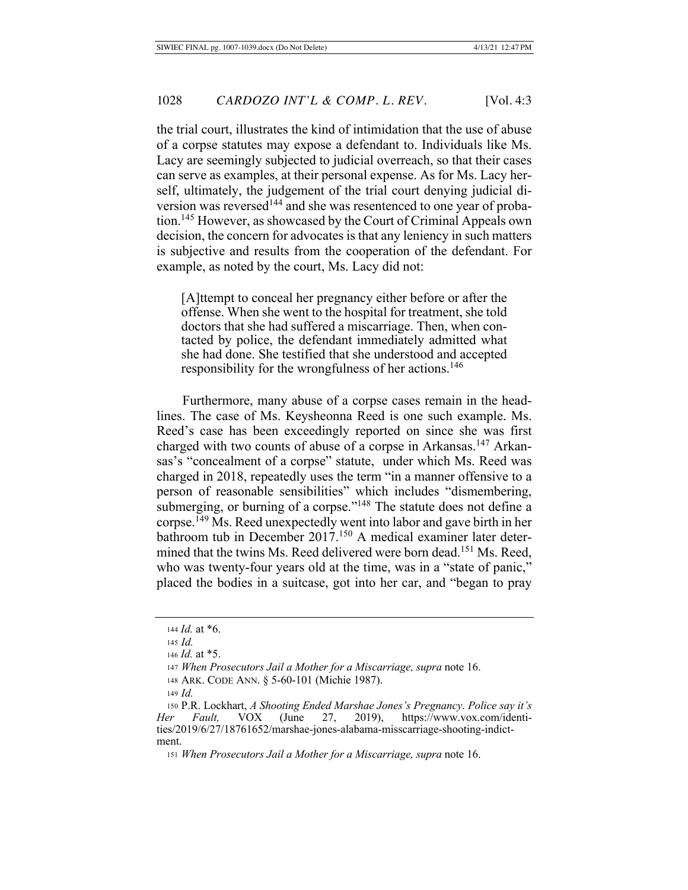the trial court, illustrates the kind of intimidation that the use of abuse of a corpse statutes may expose a defendant to. Individuals like Ms. Lacy are seemingly subjected to judicial overreach, so that their cases can serve as examples, at their personal expense. As for Ms. Lacy herself, ultimately, the judgement of the trial court denying judicial diversion was reversed<sup>144</sup> and she was resentenced to one year of probation.<sup>145</sup> However, as showcased by the Court of Criminal Appeals own decision, the concern for advocates is that any leniency in such matters is subjective and results from the cooperation of the defendant. For example, as noted by the court, Ms. Lacy did not:

[A] the to conceal her pregnancy either before or after the offense. When she went to the hospital for treatment, she told doctors that she had suffered a miscarriage. Then, when contacted by police, the defendant immediately admitted what she had done. She testified that she understood and accepted responsibility for the wrongfulness of her actions.<sup>146</sup>

Furthermore, many abuse of a corpse cases remain in the headlines. The case of Ms. Keysheonna Reed is one such example. Ms. Reed's case has been exceedingly reported on since she was first charged with two counts of abuse of a corpse in Arkansas.<sup>147</sup> Arkansas's "concealment of a corpse" statute, under which Ms. Reed was charged in 2018, repeatedly uses the term "in a manner offensive to a person of reasonable sensibilities" which includes "dismembering, submerging, or burning of a corpse."<sup>148</sup> The statute does not define a corpse.<sup>149</sup> Ms. Reed unexpectedly went into labor and gave birth in her bathroom tub in December 2017.<sup>150</sup> A medical examiner later determined that the twins Ms. Reed delivered were born dead.<sup>151</sup> Ms. Reed, who was twenty-four years old at the time, was in a "state of panic," placed the bodies in a suitcase, got into her car, and "began to pray

<sup>144</sup> *Id.* at \*6.

 $145$  *Id* 

<sup>146</sup> *Id.* at \*5.

<sup>147</sup> When Prosecutors Jail a Mother for a Miscarriage, supra note 16.

<sup>148</sup> ARK. CODE ANN. § 5-60-101 (Michie 1987).

<sup>149</sup> *Id.* 

<sup>150</sup> P.R. Lockhart, A Shooting Ended Marshae Jones's Pregnancy. Police say it's Her Fault, VOX (June 27, 2019), https://www.vox.com/identities/2019/6/27/18761652/marshae-jones-alabama-misscarriage-shooting-indictment.

<sup>151</sup> When Prosecutors Jail a Mother for a Miscarriage, supra note 16.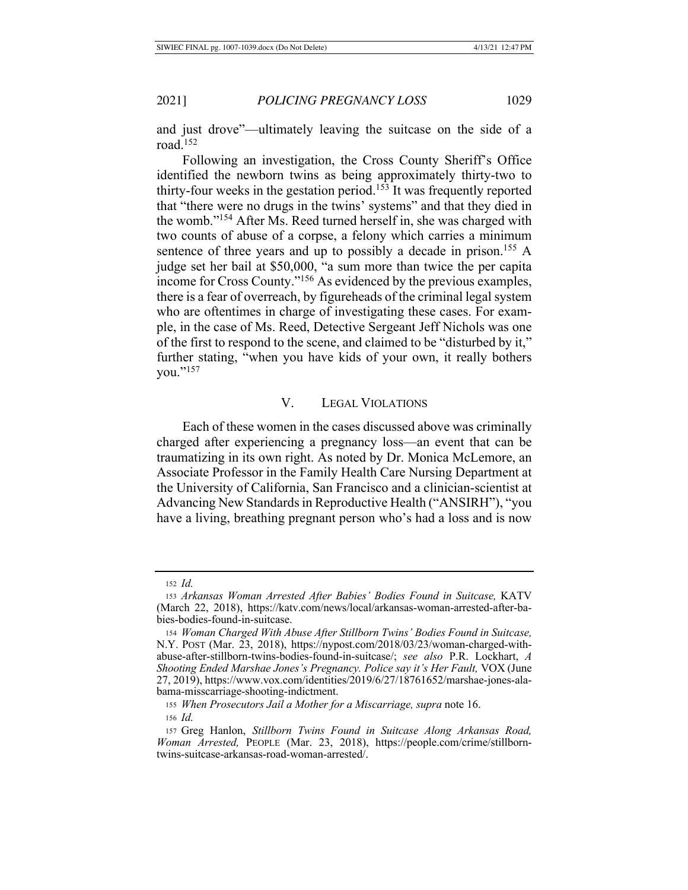and just drove"—ultimately leaving the suitcase on the side of a road. $152$ 

Following an investigation, the Cross County Sheriff's Office identified the newborn twins as being approximately thirty-two to thirty-four weeks in the gestation period.<sup>153</sup> It was frequently reported that "there were no drugs in the twins' systems" and that they died in the womb."<sup>154</sup> After Ms. Reed turned herself in, she was charged with two counts of abuse of a corpse, a felony which carries a minimum sentence of three years and up to possibly a decade in prison.<sup>155</sup> A judge set her bail at \$50,000, "a sum more than twice the per capita income for Cross County."<sup>156</sup> As evidenced by the previous examples, there is a fear of overreach, by figureheads of the criminal legal system who are oftentimes in charge of investigating these cases. For example, in the case of Ms. Reed, Detective Sergeant Jeff Nichols was one of the first to respond to the scene, and claimed to be "disturbed by it," further stating, "when you have kids of your own, it really bothers you."<sup>157</sup>

# V. LEGAL VIOLATIONS

Each of these women in the cases discussed above was criminally charged after experiencing a pregnancy loss—an event that can be traumatizing in its own right. As noted by Dr. Monica McLemore, an Associate Professor in the Family Health Care Nursing Department at the University of California, San Francisco and a clinician-scientist at Advancing New Standards in Reproductive Health ("ANSIRH"), "you have a living, breathing pregnant person who's had a loss and is now

155 When Prosecutors Jail a Mother for a Miscarriage, supra note 16.  $156$  *Id.* 

 $152$  *Id.* 

<sup>153</sup> Arkansas Woman Arrested After Babies' Bodies Found in Suitcase, KATV (March 22, 2018), https://katv.com/news/local/arkansas-woman-arrested-after-babies-bodies-found-in-suitcase.

<sup>154</sup> Woman Charged With Abuse After Stillborn Twins' Bodies Found in Suitcase, N.Y. Post (Mar. 23, 2018), https://nypost.com/2018/03/23/woman-charged-withabuse-after-stillborn-twins-bodies-found-in-suitcase/; see also P.R. Lockhart, A Shooting Ended Marshae Jones's Pregnancy. Police say it's Her Fault, VOX (June 27, 2019), https://www.vox.com/identities/2019/6/27/18761652/marshae-jones-alabama-misscarriage-shooting-indictment.

<sup>157</sup> Greg Hanlon, Stillborn Twins Found in Suitcase Along Arkansas Road, Woman Arrested, PEOPLE (Mar. 23, 2018), https://people.com/crime/stillborntwins-suitcase-arkansas-road-woman-arrested/.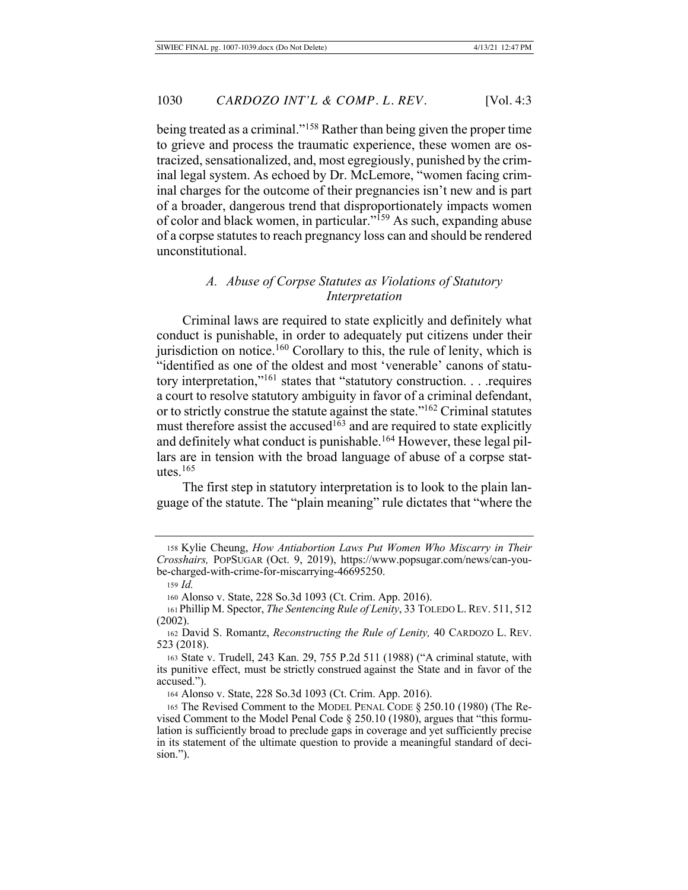being treated as a criminal."<sup>158</sup> Rather than being given the proper time to grieve and process the traumatic experience, these women are ostracized, sensationalized, and, most egregiously, punished by the criminal legal system. As echoed by Dr. McLemore, "women facing criminal charges for the outcome of their pregnancies isn't new and is part of a broader, dangerous trend that disproportionately impacts women of color and black women, in particular."<sup>159</sup> As such, expanding abuse of a corpse statutes to reach pregnancy loss can and should be rendered unconstitutional.

#### *A. Abuse of Corpse Statutes as Violations of Statutory lnterpretation*

Criminal laws are required to state explicitly and definitely what conduct is punishable, in order to adequately put citizens under their jurisdiction on notice.<sup>160</sup> Corollary to this, the rule of lenity, which is "identified as one of the oldest and most 'venerable' canons of statutory interpretation,"<sup>161</sup> states that "statutory construction.... requires a court to resolve statutory ambiguity in favor of a criminal defendant, or to strictly construe the statute against the state." $162$  Criminal statutes must therefore assist the accused<sup> $1\overline{6}3$ </sup> and are required to state explicitly and definitely what conduct is punishable.<sup>164</sup> However, these legal pillars are in tension with the broad language of abuse of a corpse statutes. $165$ 

The first step in statutory interpretation is to look to the plain language of the statute. The "plain meaning" rule dictates that "where the

161 Phillip M. Spector, *The Sentencing Rule of Lenity*, 33 TOLEDO L. REV. 511, 512  $(2002).$ 

<sup>158</sup> Kylie Cheung, How Antiabortion Laws Put Women Who Miscarry in Their Crosshairs, POPSUGAR (Oct. 9, 2019), https://www.popsugar.com/news/can-yoube-charged-with-crime-for-miscarrying-46695250.

<sup>159</sup> *Id.* 

<sup>160</sup> Alonso v. State, 228 So.3d 1093 (Ct. Crim. App. 2016).

<sup>162</sup> David S. Romantz, Reconstructing the Rule of Lenity, 40 CARDOZO L. REV. 523 (2018).

<sup>163</sup> State v. Trudell, 243 Kan. 29, 755 P.2d 511 (1988) ("A criminal statute, with its punitive effect, must be strictly construed against the State and in favor of the accused.").

<sup>164</sup> Alonso v. State, 228 So.3d 1093 (Ct. Crim. App. 2016).

<sup>165</sup> The Revised Comment to the MODEL PENAL CODE § 250.10 (1980) (The Revised Comment to the Model Penal Code  $\S 250.10$  (1980), argues that "this formulation is sufficiently broad to preclude gaps in coverage and yet sufficiently precise in its statement of the ultimate question to provide a meaningful standard of decision.").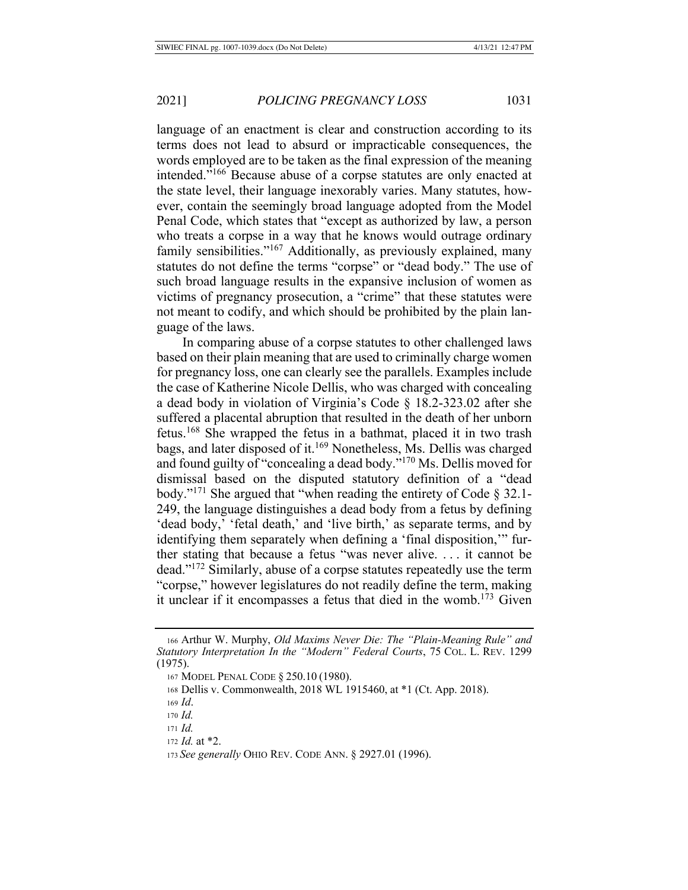language of an enactment is clear and construction according to its terms does not lead to absurd or impracticable consequences, the words employed are to be taken as the final expression of the meaning intended."<sup>166</sup> Because abuse of a corpse statutes are only enacted at the state level, their language inexorably varies. Many statutes, however, contain the seemingly broad language adopted from the Model Penal Code, which states that "except as authorized by law, a person who treats a corpse in a way that he knows would outrage ordinary family sensibilities."<sup>167</sup> Additionally, as previously explained, many statutes do not define the terms "corpse" or "dead body." The use of such broad language results in the expansive inclusion of women as victims of pregnancy prosecution, a "crime" that these statutes were not meant to codify, and which should be prohibited by the plain language of the laws.

In comparing abuse of a corpse statutes to other challenged laws based on their plain meaning that are used to criminally charge women for pregnancy loss, one can clearly see the parallels. Examples include the case of Katherine Nicole Dellis, who was charged with concealing a dead body in violation of Virginia's Code  $\S$  18.2-323.02 after she suffered a placental abruption that resulted in the death of her unborn fetus.<sup>168</sup> She wrapped the fetus in a bathmat, placed it in two trash bags, and later disposed of it.<sup>169</sup> Nonetheless, Ms. Dellis was charged and found guilty of "concealing a dead body."<sup>170</sup> Ms. Dellis moved for dismissal based on the disputed statutory definition of a "dead body."<sup>171</sup> She argued that "when reading the entirety of Code  $\S 32.1$ -249, the language distinguishes a dead body from a fetus by defining 'dead body,' 'fetal death,' and 'live birth,' as separate terms, and by identifying them separately when defining a 'final disposition," further stating that because a fetus "was never alive.... it cannot be dead." $^{172}$  Similarly, abuse of a corpse statutes repeatedly use the term "corpse," however legislatures do not readily define the term, making it unclear if it encompasses a fetus that died in the womb.<sup>173</sup> Given

<sup>166</sup> Arthur W. Murphy, Old Maxims Never Die: The "Plain-Meaning Rule" and Statutory Interpretation In the "Modern" Federal Courts, 75 CoL. L. REV. 1299  $(1975).$ 

<sup>167</sup> MODEL PENAL CODE § 250.10 (1980).

<sup>168</sup> Dellis v. Commonwealth, 2018 WL 1915460, at \*1 (Ct. App. 2018).

<sup>169</sup> Id.

<sup>170</sup> Id.

 $171$  *Id.* 

<sup>172</sup> *Id.* at \*2.

<sup>173</sup> See generally OHIO REV. CODE ANN. § 2927.01 (1996).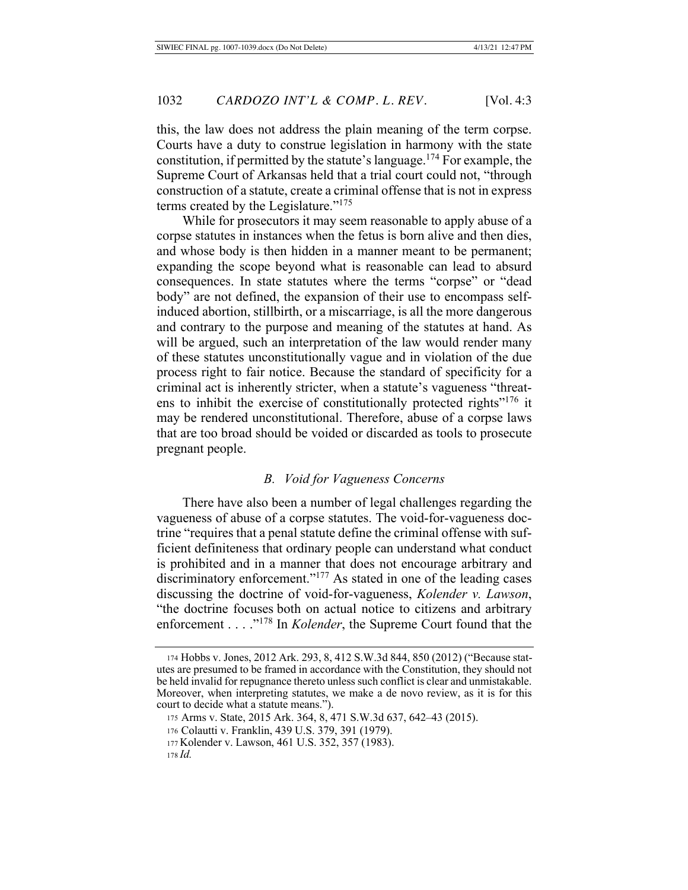this, the law does not address the plain meaning of the term corpse. Courts have a duty to construe legislation in harmony with the state constitution, if permitted by the statute's language.<sup>174</sup> For example, the Supreme Court of Arkansas held that a trial court could not, "through construction of a statute, create a criminal offense that is not in express terms created by the Legislature."<sup>175</sup>

While for prosecutors it may seem reasonable to apply abuse of a corpse statutes in instances when the fetus is born alive and then dies, and whose body is then hidden in a manner meant to be permanent; expanding the scope beyond what is reasonable can lead to absurd consequences. In state statutes where the terms "corpse" or "dead body" are not defined, the expansion of their use to encompass selfinduced abortion, stillbirth, or a miscarriage, is all the more dangerous and contrary to the purpose and meaning of the statutes at hand. As will be argued, such an interpretation of the law would render many of these statutes unconstitutionally vague and in violation of the due process right to fair notice. Because the standard of specificity for a criminal act is inherently stricter, when a statute's vagueness "threatens to inhibit the exercise of constitutionally protected rights"<sup>176</sup> it may be rendered unconstitutional. Therefore, abuse of a corpse laws that are too broad should be voided or discarded as tools to prosecute pregnant people.

#### *B. Void for Vagueness Concerns*

There have also been a number of legal challenges regarding the vagueness of abuse of a corpse statutes. The void-for-vagueness doctrine "requires that a penal statute define the criminal offense with sufficient definiteness that ordinary people can understand what conduct is prohibited and in a manner that does not encourage arbitrary and discriminatory enforcement."<sup>177</sup> As stated in one of the leading cases discussing the doctrine of void-for-vagueness, *Kolender v. Lawson*, "the doctrine focuses both on actual notice to citizens and arbitrary enforcement . . . .<sup>"178</sup> In *Kolender*, the Supreme Court found that the

<sup>174</sup> Hobbs v. Jones, 2012 Ark. 293, 8, 412 S.W.3d 844, 850 (2012) ("Because statutes are presumed to be framed in accordance with the Constitution, they should not be held invalid for repugnance thereto unless such conflict is clear and unmistakable. Moreover, when interpreting statutes, we make a de novo review, as it is for this court to decide what a statute means.").

<sup>175</sup> Arms v. State, 2015 Ark. 364, 8, 471 S.W.3d 637, 642–43 (2015).

<sup>176</sup> Colautti v. Franklin, 439 U.S. 379, 391 (1979).

<sup>177</sup> Kolender v. Lawson, 461 U.S. 352, 357 (1983).

<sup>178</sup> Id.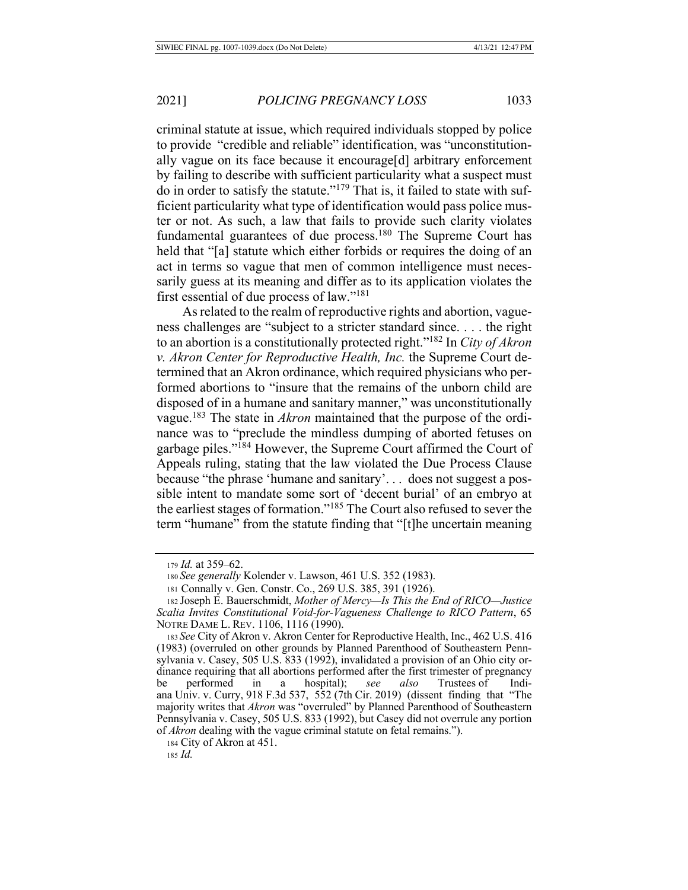criminal statute at issue, which required individuals stopped by police to provide "credible and reliable" identification, was "unconstitutionally vague on its face because it encourage[d] arbitrary enforcement by failing to describe with sufficient particularity what a suspect must do in order to satisfy the statute." $179$  That is, it failed to state with sufficient particularity what type of identification would pass police muster or not. As such, a law that fails to provide such clarity violates fundamental guarantees of due process.<sup>180</sup> The Supreme Court has held that "[a] statute which either forbids or requires the doing of an act in terms so vague that men of common intelligence must necessarily guess at its meaning and differ as to its application violates the

first essential of due process of law." $181$ As related to the realm of reproductive rights and abortion, vagueness challenges are "subject to a stricter standard since.... the right to an abortion is a constitutionally protected right."<sup>182</sup> In *City of Akron v. Akron Center for Reproductive Health, Inc. the Supreme Court de*termined that an Akron ordinance, which required physicians who performed abortions to "insure that the remains of the unborn child are disposed of in a humane and sanitary manner," was unconstitutionally vague.<sup>183</sup> The state in *Akron* maintained that the purpose of the ordinance was to "preclude the mindless dumping of aborted fetuses on garbage piles."<sup>184</sup> However, the Supreme Court affirmed the Court of Appeals ruling, stating that the law violated the Due Process Clause because "the phrase 'humane and sanitary'... does not suggest a possible intent to mandate some sort of 'decent burial' of an embryo at the earliest stages of formation."<sup>185</sup> The Court also refused to sever the term "humane" from the statute finding that "[t]he uncertain meaning

184 City of Akron at 451.

<sup>179</sup> *Id.* at 359-62.

<sup>180</sup> See generally Kolender v. Lawson, 461 U.S. 352 (1983).

<sup>181</sup> Connally v. Gen. Constr. Co., 269 U.S. 385, 391 (1926).

<sup>182</sup> Joseph E. Bauerschmidt, Mother of Mercy-Is This the End of RICO-Justice Scalia Invites Constitutional Void-for-Vagueness Challenge to RICO Pattern, 65 NOTRE DAME L. REV. 1106, 1116 (1990).

<sup>183</sup> See City of Akron v. Akron Center for Reproductive Health, Inc., 462 U.S. 416 (1983) (overruled on other grounds by Planned Parenthood of Southeastern Pennsylvania v. Casey, 505 U.S. 833 (1992), invalidated a provision of an Ohio city ordinance requiring that all abortions performed after the first trimester of pregnancy performed in a hospital); see also Trustees of Indiana Univ. v. Curry, 918 F.3d 537, 552 (7th Cir. 2019) (dissent finding that "The majority writes that *Akron* was "overruled" by Planned Parenthood of Southeastern Pennsylvania v. Casey, 505 U.S. 833 (1992), but Casey did not overrule any portion of *Akron* dealing with the vague criminal statute on fetal remains.").

<sup>185</sup> Id.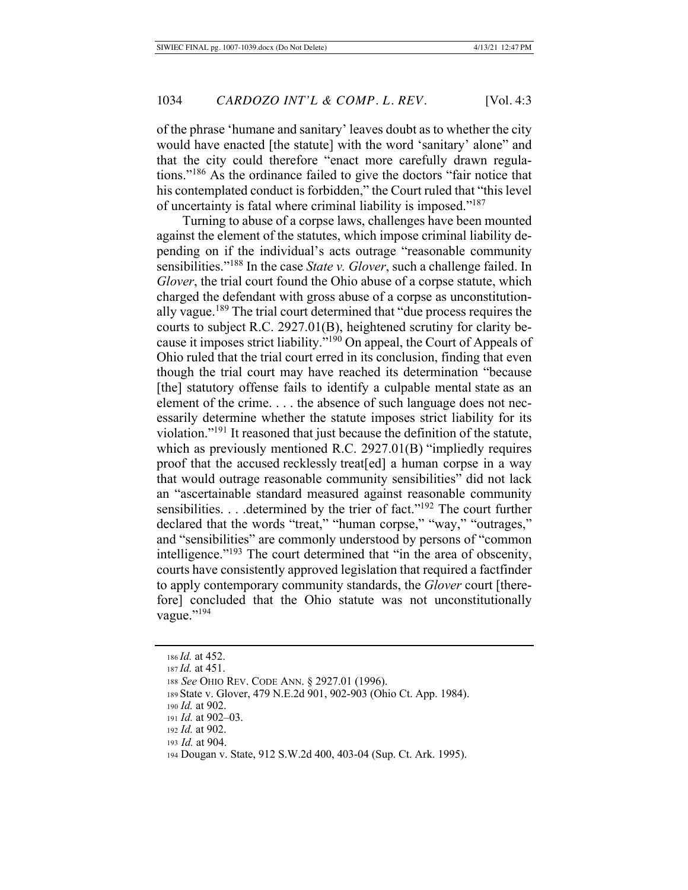of the phrase 'humane and sanitary' leaves doubt as to whether the city would have enacted [the statute] with the word 'sanitary' alone" and that the city could therefore "enact more carefully drawn regulations."<sup>186</sup> As the ordinance failed to give the doctors "fair notice that his contemplated conduct is forbidden," the Court ruled that "this level of uncertainty is fatal where criminal liability is imposed."<sup>187</sup>

Turning to abuse of a corpse laws, challenges have been mounted against the element of the statutes, which impose criminal liability depending on if the individual's acts outrage "reasonable community" sensibilities."<sup>188</sup> In the case State v. Glover, such a challenge failed. In *Glover*, the trial court found the Ohio abuse of a corpse statute, which charged the defendant with gross abuse of a corpse as unconstitutionally vague.<sup>189</sup> The trial court determined that "due process requires the courts to subject R.C. 2927.01(B), heightened scrutiny for clarity because it imposes strict liability."<sup>190</sup> On appeal, the Court of Appeals of Ohio ruled that the trial court erred in its conclusion, finding that even though the trial court may have reached its determination "because" [the] statutory offense fails to identify a culpable mental state as an element of the crime.... the absence of such language does not necessarily determine whether the statute imposes strict liability for its violation."<sup>191</sup> It reasoned that just because the definition of the statute, which as previously mentioned R.C.  $2927.01(B)$  "impliedly requires proof that the accused recklessly treat [ed] a human corpse in a way that would outrage reasonable community sensibilities" did not lack an "ascertainable standard measured against reasonable community sensibilities. . . .determined by the trier of fact."<sup>192</sup> The court further declared that the words "treat," "human corpse," "way," "outrages," and "sensibilities" are commonly understood by persons of "common intelligence."<sup>193</sup> The court determined that "in the area of obscenity, courts have consistently approved legislation that required a factfinder to apply contemporary community standards, the *Glover* court [therefore] concluded that the Ohio statute was not unconstitutionally vague."<sup>194</sup>

<sup>186</sup> *Id.* at 452.

<sup>187</sup> Id. at 451.

<sup>188</sup> See OHIO REV. CODE ANN. § 2927.01 (1996).

<sup>189</sup> State v. Glover, 479 N.E.2d 901, 902-903 (Ohio Ct. App. 1984).

<sup>190</sup> *Id.* at 902.

<sup>191</sup> *Id.* at 902-03.

<sup>192</sup> *Id.* at 902.

<sup>193</sup> *Id.* at 904.

<sup>194</sup> Dougan v. State, 912 S.W.2d 400, 403-04 (Sup. Ct. Ark. 1995).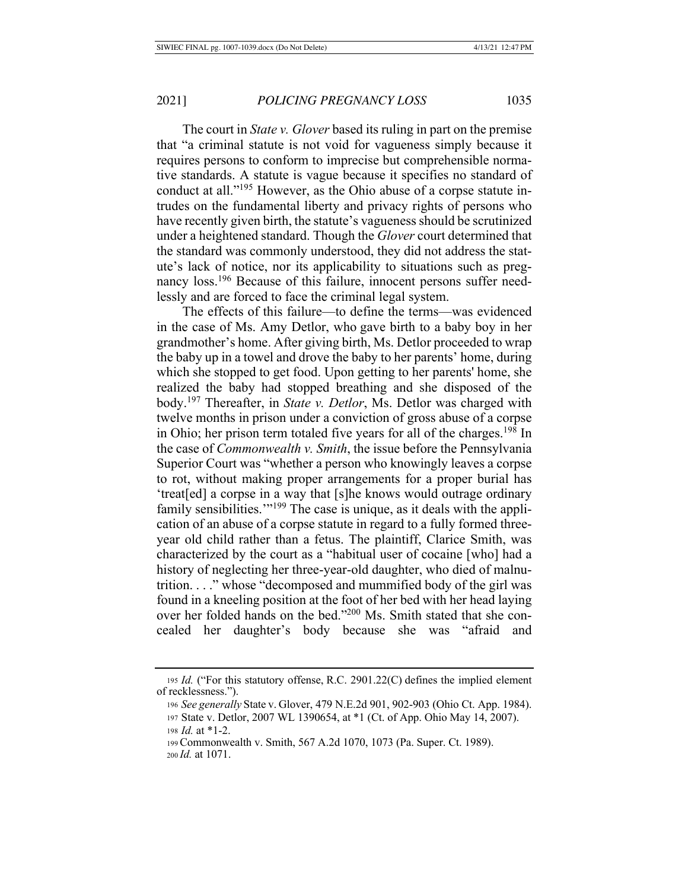The court in *State v. Glover* based its ruling in part on the premise that "a criminal statute is not void for vagueness simply because it requires persons to conform to imprecise but comprehensible normative standards. A statute is vague because it specifies no standard of conduct at all."<sup>195</sup> However, as the Ohio abuse of a corpse statute intrudes on the fundamental liberty and privacy rights of persons who have recently given birth, the statute's vagueness should be scrutinized under a heightened standard. Though the Glover court determined that the standard was commonly understood, they did not address the statute's lack of notice, nor its applicability to situations such as pregnancy loss.<sup>196</sup> Because of this failure, innocent persons suffer needlessly and are forced to face the criminal legal system.

The effects of this failure—to define the terms—was evidenced in the case of Ms. Amy Detlor, who gave birth to a baby boy in her grandmother's home. After giving birth, Ms. Detlor proceeded to wrap the baby up in a towel and drove the baby to her parents' home, during which she stopped to get food. Upon getting to her parents' home, she realized the baby had stopped breathing and she disposed of the body.<sup>197</sup> Thereafter, in *State v. Detlor*, Ms. Detlor was charged with twelve months in prison under a conviction of gross abuse of a corpse in Ohio; her prison term totaled five years for all of the charges.<sup>198</sup> In the case of *Commonwealth v. Smith*, the issue before the Pennsylvania Superior Court was "whether a person who knowingly leaves a corpse to rot, without making proper arrangements for a proper burial has 'treat[ed] a corpse in a way that [s]he knows would outrage ordinary family sensibilities."<sup>199</sup> The case is unique, as it deals with the application of an abuse of a corpse statute in regard to a fully formed threeyear old child rather than a fetus. The plaintiff, Clarice Smith, was characterized by the court as a "habitual user of cocaine [who] had a history of neglecting her three-year-old daughter, who died of malnutrition..." whose "decomposed and mummified body of the girl was found in a kneeling position at the foot of her bed with her head laying over her folded hands on the bed."200 Ms. Smith stated that she concealed her daughter's body because she was "afraid and

<sup>195</sup> Id. ("For this statutory offense, R.C. 2901.22(C) defines the implied element of recklessness.").

<sup>196</sup> See generally State v. Glover, 479 N.E.2d 901, 902-903 (Ohio Ct. App. 1984). 197 State v. Detlor, 2007 WL 1390654, at \*1 (Ct. of App. Ohio May 14, 2007).

<sup>198</sup>  $Id.$  at  $*1-2.$ 

<sup>199</sup> Commonwealth v. Smith, 567 A.2d 1070, 1073 (Pa. Super. Ct. 1989). 200 *Id.* at 1071.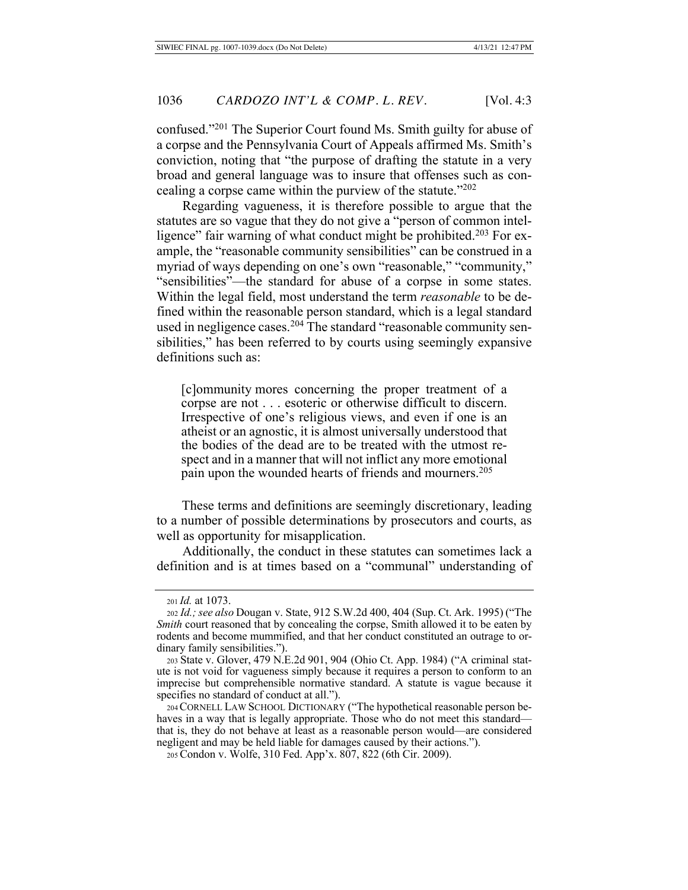confused."<sup>201</sup> The Superior Court found Ms. Smith guilty for abuse of a corpse and the Pennsylvania Court of Appeals affirmed Ms. Smith's conviction, noting that "the purpose of drafting the statute in a very broad and general language was to insure that offenses such as concealing a corpse came within the purview of the statute." $202$ 

Regarding vagueness, it is therefore possible to argue that the statutes are so vague that they do not give a "person of common intelligence" fair warning of what conduct might be prohibited.<sup>203</sup> For example, the "reasonable community sensibilities" can be construed in a myriad of ways depending on one's own "reasonable," "community," "sensibilities"—the standard for abuse of a corpse in some states. Within the legal field, most understand the term *reasonable* to be defined within the reasonable person standard, which is a legal standard used in negligence cases.<sup>204</sup> The standard "reasonable community sensibilities," has been referred to by courts using seemingly expansive definitions such as:

[c]ommunity mores concerning the proper treatment of a corpse are not  $\dots$  esoteric or otherwise difficult to discern. Irrespective of one's religious views, and even if one is an atheist or an agnostic, it is almost universally understood that the bodies of the dead are to be treated with the utmost respect and in a manner that will not inflict any more emotional pain upon the wounded hearts of friends and mourners.<sup>205</sup>

These terms and definitions are seemingly discretionary, leading to a number of possible determinations by prosecutors and courts, as well as opportunity for misapplication.

Additionally, the conduct in these statutes can sometimes lack a definition and is at times based on a "communal" understanding of

<sup>201</sup> *Id.* at 1073.

<sup>202</sup> *Id.; see also* Dougan v. State, 912 S.W.2d 400, 404 (Sup. Ct. Ark. 1995) ("The *Smith* court reasoned that by concealing the corpse, Smith allowed it to be eaten by rodents and become mummified, and that her conduct constituted an outrage to ordinary family sensibilities.").

<sup>203</sup> State v. Glover, 479 N.E.2d 901, 904 (Ohio Ct. App. 1984) ("A criminal statute is not void for vagueness simply because it requires a person to conform to an imprecise but comprehensible normative standard. A statute is vague because it specifies no standard of conduct at all.").

<sup>204</sup> CORNELL LAW SCHOOL DICTIONARY ("The hypothetical reasonable person behaves in a way that is legally appropriate. Those who do not meet this standard that is, they do not behave at least as a reasonable person would—are considered negligent and may be held liable for damages caused by their actions.").

<sup>205</sup> Condon v. Wolfe, 310 Fed. App'x. 807, 822 (6th Cir. 2009).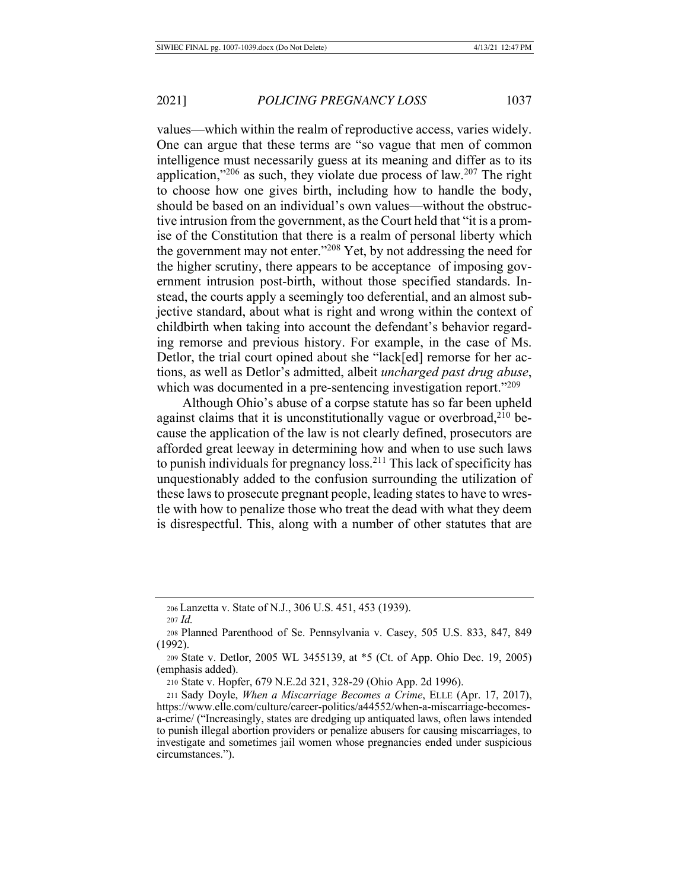values—which within the realm of reproductive access, varies widely. One can argue that these terms are "so vague that men of common intelligence must necessarily guess at its meaning and differ as to its application,"<sup>206</sup> as such, they violate due process of law.<sup>207</sup> The right to choose how one gives birth, including how to handle the body, should be based on an individual's own values—without the obstructive intrusion from the government, as the Court held that "it is a promise of the Constitution that there is a realm of personal liberty which the government may not enter."<sup>208</sup> Yet, by not addressing the need for the higher scrutiny, there appears to be acceptance of imposing government intrusion post-birth, without those specified standards. Instead, the courts apply a seemingly too deferential, and an almost subjective standard, about what is right and wrong within the context of childbirth when taking into account the defendant's behavior regarding remorse and previous history. For example, in the case of Ms. Detlor, the trial court opined about she "lack[ed] remorse for her actions, as well as Detlor's admitted, albeit *uncharged past drug abuse*, which was documented in a pre-sentencing investigation report." $209$ 

Although Ohio's abuse of a corpse statute has so far been upheld against claims that it is unconstitutionally vague or overbroad,  $2^{10}$  because the application of the law is not clearly defined, prosecutors are afforded great leeway in determining how and when to use such laws to punish individuals for pregnancy  $\overline{loss}^{211}$ . This lack of specificity has unquestionably added to the confusion surrounding the utilization of these laws to prosecute pregnant people, leading states to have to wrestle with how to penalize those who treat the dead with what they deem is disrespectful. This, along with a number of other statutes that are

<sup>206</sup> Lanzetta v. State of N.J., 306 U.S. 451, 453 (1939).

<sup>207</sup> *Id.* 

<sup>208</sup> Planned Parenthood of Se. Pennsylvania v. Casey, 505 U.S. 833, 847, 849  $(1992).$ 

<sup>209</sup> State v. Detlor, 2005 WL 3455139, at \*5 (Ct. of App. Ohio Dec. 19, 2005) (emphasis added).

<sup>210</sup> State v. Hopfer, 679 N.E.2d 321, 328-29 (Ohio App. 2d 1996).

<sup>211</sup> Sady Doyle, When a Miscarriage Becomes a Crime, ELLE (Apr. 17, 2017), https://www.elle.com/culture/career-politics/a44552/when-a-miscarriage-becomesa-crime/ ("Increasingly, states are dredging up antiquated laws, often laws intended to punish illegal abortion providers or penalize abusers for causing miscarriages, to investigate and sometimes jail women whose pregnancies ended under suspicious circumstances.").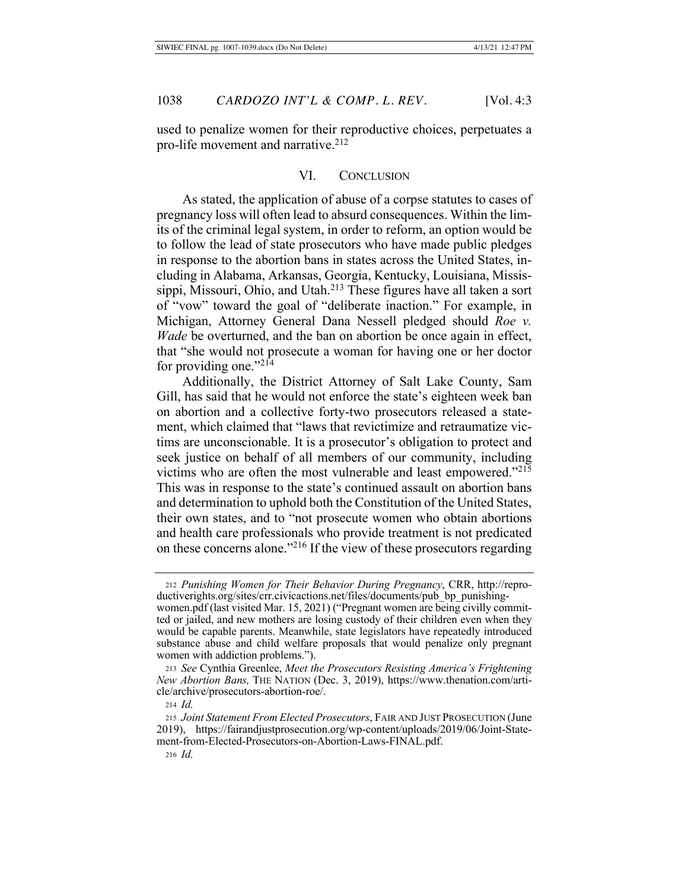used to penalize women for their reproductive choices, perpetuates a pro-life movement and narrative.<sup>212</sup>

#### VI. CONCLUSION

As stated, the application of abuse of a corpse statutes to cases of pregnancy loss will often lead to absurd consequences. Within the limits of the criminal legal system, in order to reform, an option would be to follow the lead of state prosecutors who have made public pledges in response to the abortion bans in states across the United States, including in Alabama, Arkansas, Georgia, Kentucky, Louisiana, Mississippi, Missouri, Ohio, and Utah.<sup>213</sup> These figures have all taken a sort of "vow" toward the goal of "deliberate inaction." For example, in Michigan, Attorney General Dana Nessell pledged should Roe v. Wade be overturned, and the ban on abortion be once again in effect, that "she would not prosecute a woman for having one or her doctor for providing one." $214$ 

Additionally, the District Attorney of Salt Lake County, Sam Gill, has said that he would not enforce the state's eighteen week ban on abortion and a collective forty-two prosecutors released a statement, which claimed that "laws that revictimize and retraumatize victims are unconscionable. It is a prosecutor's obligation to protect and seek justice on behalf of all members of our community, including victims who are often the most vulnerable and least empowered."215 This was in response to the state's continued assault on abortion bans and determination to uphold both the Constitution of the United States, their own states, and to "not prosecute women who obtain abortions and health care professionals who provide treatment is not predicated on these concerns alone."<sup>216</sup> If the view of these prosecutors regarding

<sup>212</sup> Punishing Women for Their Behavior During Pregnancy, CRR, http://reproductiverights.org/sites/crr.civicactions.net/files/documents/pub\_bp\_punishingwomen.pdf (last visited Mar. 15, 2021) ("Pregnant women are being civilly committed or jailed, and new mothers are losing custody of their children even when they would be capable parents. Meanwhile, state legislators have repeatedly introduced substance abuse and child welfare proposals that would penalize only pregnant

women with addiction problems."). 213 See Cynthia Greenlee, Meet the Prosecutors Resisting America's Frightening New Abortion Bans, THE NATION (Dec. 3, 2019), https://www.thenation.com/arti-

cle/archive/prosecutors-abortion-roe/.

 $214$  *Id.* 

<sup>215</sup> Joint Statement From Elected Prosecutors, FAIR AND JUST PROSECUTION (June 2019), https://fairandjustprosecution.org/wp-content/uploads/2019/06/Joint-Statement-from-Elected-Prosecutors-on-Abortion-Laws-FINAL.pdf.

 $216$  *Id.*